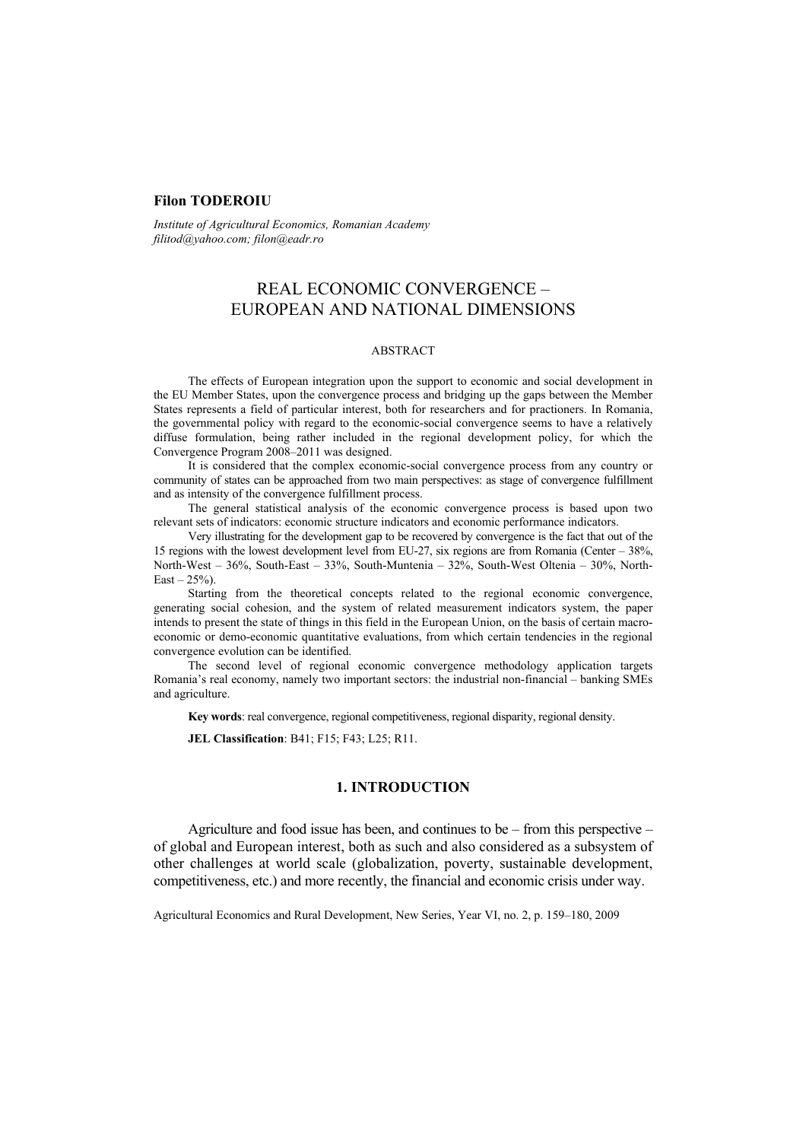## **Filon TODEROIU**

*Institute of Agricultural Economics, Romanian Academy filitod@yahoo.com; filon@eadr.ro* 

# REAL ECONOMIC CONVERGENCE – EUROPEAN AND NATIONAL DIMENSIONS

#### ABSTRACT

The effects of European integration upon the support to economic and social development in the EU Member States, upon the convergence process and bridging up the gaps between the Member States represents a field of particular interest, both for researchers and for practioners. In Romania, the governmental policy with regard to the economic-social convergence seems to have a relatively diffuse formulation, being rather included in the regional development policy, for which the Convergence Program 2008–2011 was designed.

It is considered that the complex economic-social convergence process from any country or community of states can be approached from two main perspectives: as stage of convergence fulfillment and as intensity of the convergence fulfillment process.

The general statistical analysis of the economic convergence process is based upon two relevant sets of indicators: economic structure indicators and economic performance indicators.

Very illustrating for the development gap to be recovered by convergence is the fact that out of the 15 regions with the lowest development level from EU-27, six regions are from Romania (Center – 38%, North-West – 36%, South-East – 33%, South-Muntenia – 32%, South-West Oltenia – 30%, North- $East - 25\%)$ .

Starting from the theoretical concepts related to the regional economic convergence, generating social cohesion, and the system of related measurement indicators system, the paper intends to present the state of things in this field in the European Union, on the basis of certain macroeconomic or demo-economic quantitative evaluations, from which certain tendencies in the regional convergence evolution can be identified.

The second level of regional economic convergence methodology application targets Romania's real economy, namely two important sectors: the industrial non-financial – banking SMEs and agriculture.

**Key words**: real convergence, regional competitiveness, regional disparity, regional density.

**JEL Classification**: B41; F15; F43; L25; R11.

#### **1. INTRODUCTION**

Agriculture and food issue has been, and continues to be – from this perspective – of global and European interest, both as such and also considered as a subsystem of other challenges at world scale (globalization, poverty, sustainable development, competitiveness, etc.) and more recently, the financial and economic crisis under way.

Agricultural Economics and Rural Development, New Series, Year VI, no. 2, p. 159–180, 2009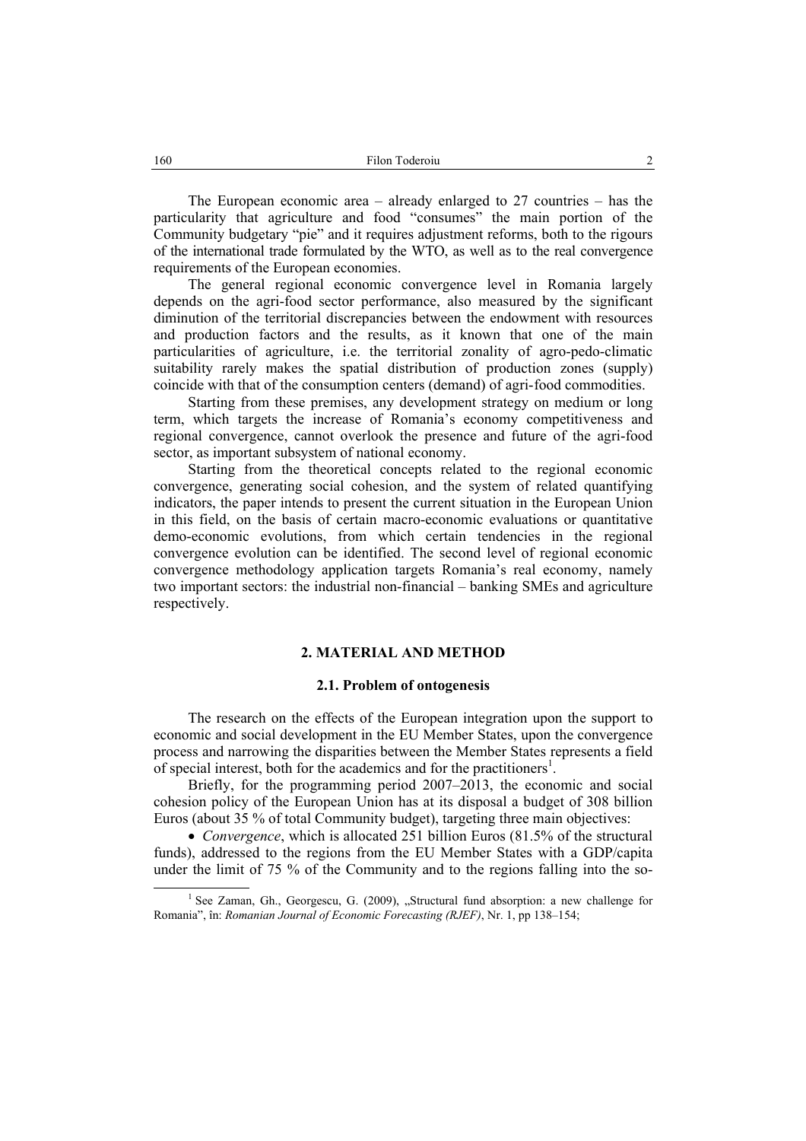The European economic area – already enlarged to 27 countries – has the particularity that agriculture and food "consumes" the main portion of the Community budgetary "pie" and it requires adjustment reforms, both to the rigours of the international trade formulated by the WTO, as well as to the real convergence requirements of the European economies.

The general regional economic convergence level in Romania largely depends on the agri-food sector performance, also measured by the significant diminution of the territorial discrepancies between the endowment with resources and production factors and the results, as it known that one of the main particularities of agriculture, i.e. the territorial zonality of agro-pedo-climatic suitability rarely makes the spatial distribution of production zones (supply) coincide with that of the consumption centers (demand) of agri-food commodities.

Starting from these premises, any development strategy on medium or long term, which targets the increase of Romania's economy competitiveness and regional convergence, cannot overlook the presence and future of the agri-food sector, as important subsystem of national economy.

Starting from the theoretical concepts related to the regional economic convergence, generating social cohesion, and the system of related quantifying indicators, the paper intends to present the current situation in the European Union in this field, on the basis of certain macro-economic evaluations or quantitative demo-economic evolutions, from which certain tendencies in the regional convergence evolution can be identified. The second level of regional economic convergence methodology application targets Romania's real economy, namely two important sectors: the industrial non-financial – banking SMEs and agriculture respectively.

## **2. MATERIAL AND METHOD**

#### **2.1. Problem of ontogenesis**

The research on the effects of the European integration upon the support to economic and social development in the EU Member States, upon the convergence process and narrowing the disparities between the Member States represents a field of special interest, both for the academics and for the practitioners<sup>1</sup>.

Briefly, for the programming period 2007–2013, the economic and social cohesion policy of the European Union has at its disposal a budget of 308 billion Euros (about 35 % of total Community budget), targeting three main objectives:

• *Convergence*, which is allocated 251 billion Euros (81.5% of the structural funds), addressed to the regions from the EU Member States with a GDP/capita under the limit of 75 % of the Community and to the regions falling into the so-

 $\overline{\phantom{a}}$ <sup>1</sup> See Zaman, Gh., Georgescu, G. (2009), "Structural fund absorption: a new challenge for Romania", în: *Romanian Journal of Economic Forecasting (RJEF)*, Nr. 1, pp 138–154;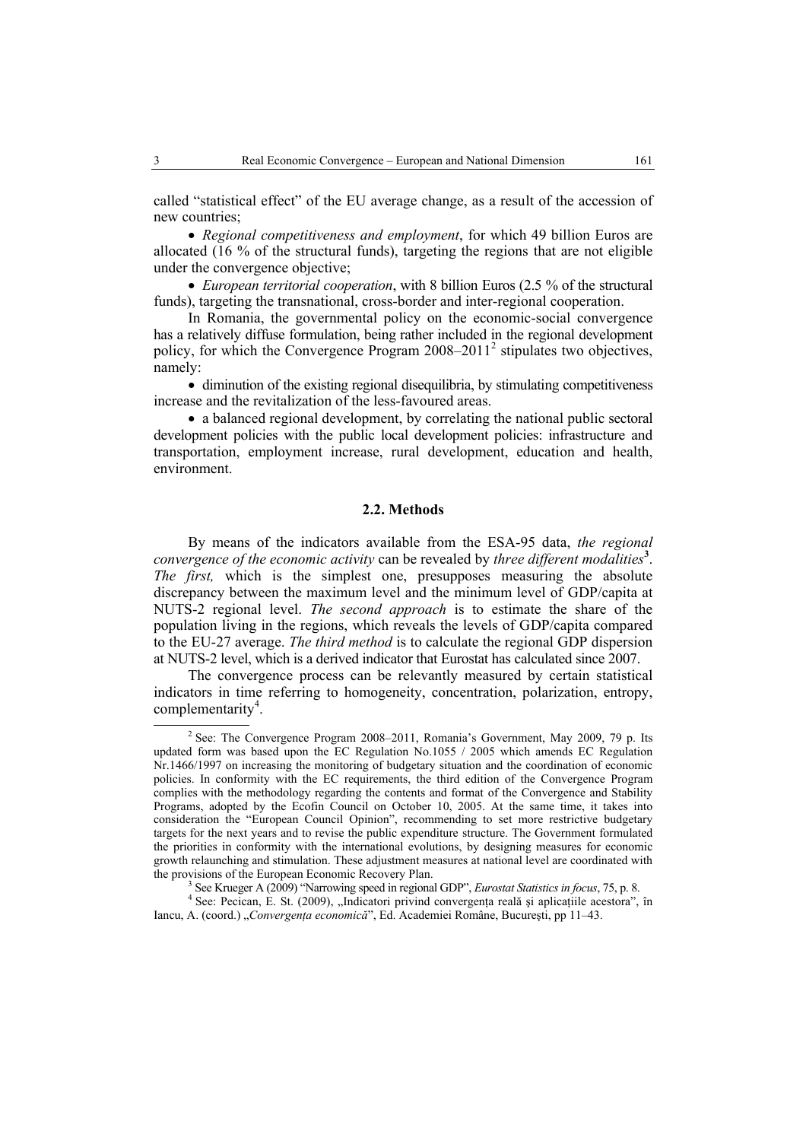called "statistical effect" of the EU average change, as a result of the accession of new countries;

• *Regional competitiveness and employment*, for which 49 billion Euros are allocated (16 % of the structural funds), targeting the regions that are not eligible under the convergence objective;

• *European territorial cooperation*, with 8 billion Euros (2.5 % of the structural funds), targeting the transnational, cross-border and inter-regional cooperation.

In Romania, the governmental policy on the economic-social convergence has a relatively diffuse formulation, being rather included in the regional development policy, for which the Convergence Program 2008–2011<sup>2</sup> stipulates two objectives, namely:

• diminution of the existing regional disequilibria, by stimulating competitiveness increase and the revitalization of the less-favoured areas.

• a balanced regional development, by correlating the national public sectoral development policies with the public local development policies: infrastructure and transportation, employment increase, rural development, education and health, environment.

#### **2.2. Methods**

By means of the indicators available from the ESA-95 data, *the regional convergence of the economic activity* can be revealed by *three different modalities***<sup>3</sup>** . *The first,* which is the simplest one, presupposes measuring the absolute discrepancy between the maximum level and the minimum level of GDP/capita at NUTS-2 regional level. *The second approach* is to estimate the share of the population living in the regions, which reveals the levels of GDP/capita compared to the EU-27 average. *The third method* is to calculate the regional GDP dispersion at NUTS-2 level, which is a derived indicator that Eurostat has calculated since 2007.

The convergence process can be relevantly measured by certain statistical indicators in time referring to homogeneity, concentration, polarization, entropy, complementarity<sup>4</sup>.

 $2$  See: The Convergence Program 2008–2011, Romania's Government, May 2009, 79 p. Its updated form was based upon the EC Regulation No.1055 / 2005 which amends EC Regulation Nr.1466/1997 on increasing the monitoring of budgetary situation and the coordination of economic policies. In conformity with the EC requirements, the third edition of the Convergence Program complies with the methodology regarding the contents and format of the Convergence and Stability Programs, adopted by the Ecofin Council on October 10, 2005. At the same time, it takes into consideration the "European Council Opinion", recommending to set more restrictive budgetary targets for the next years and to revise the public expenditure structure. The Government formulated the priorities in conformity with the international evolutions, by designing measures for economic growth relaunching and stimulation. These adjustment measures at national level are coordinated with the provisions of the European Economic Recovery Plan.

<sup>&</sup>lt;sup>3</sup> See Krueger A (2009) "Narrowing speed in regional GDP", *Eurostat Statistics in focus*, 75, p. 8.

<sup>&</sup>lt;sup>4</sup> See: Pecican, E. St. (2009), "Indicatori privind convergența reală și aplicațiile acestora", în Iancu, A. (coord.) "*Convergenţa economică*", Ed. Academiei Române, Bucureşti, pp 11–43.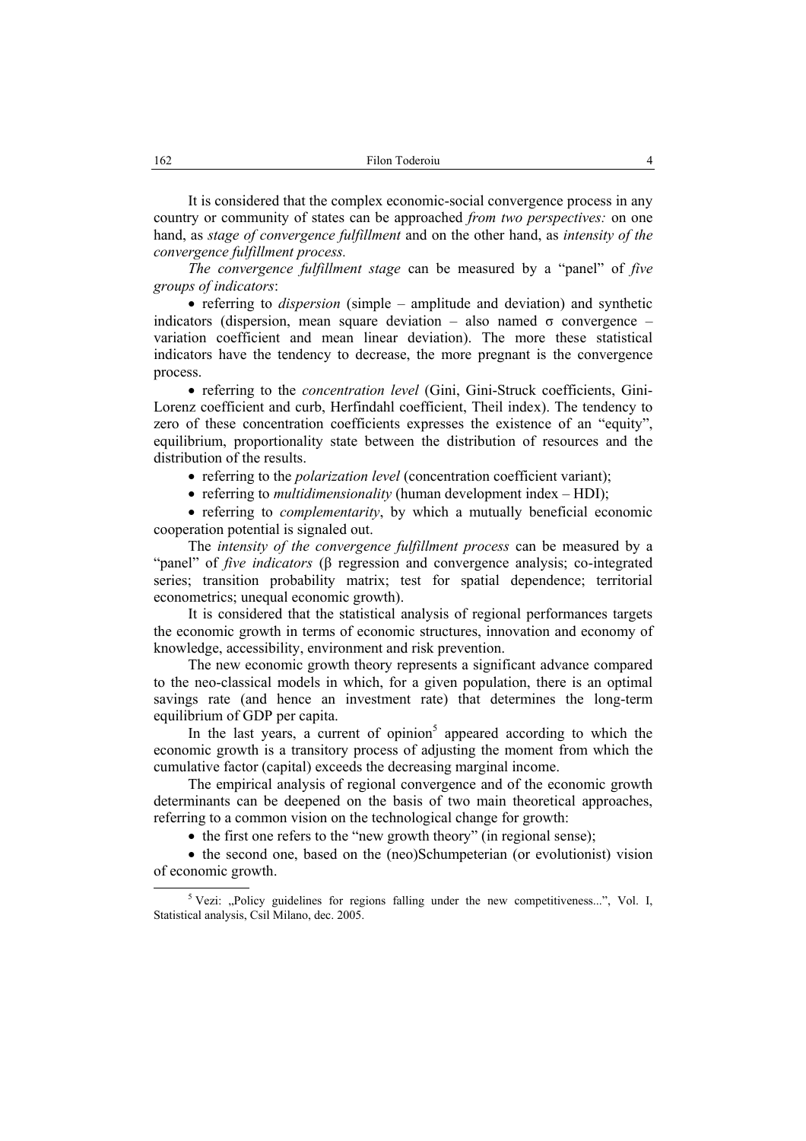It is considered that the complex economic-social convergence process in any country or community of states can be approached *from two perspectives:* on one hand, as *stage of convergence fulfillment* and on the other hand, as *intensity of the convergence fulfillment process.* 

*The convergence fulfillment stage* can be measured by a "panel" of *five groups of indicators*:

• referring to *dispersion* (simple – amplitude and deviation) and synthetic indicators (dispersion, mean square deviation – also named  $\sigma$  convergence – variation coefficient and mean linear deviation). The more these statistical indicators have the tendency to decrease, the more pregnant is the convergence process.

• referring to the *concentration level* (Gini, Gini-Struck coefficients, Gini-Lorenz coefficient and curb, Herfindahl coefficient, Theil index). The tendency to zero of these concentration coefficients expresses the existence of an "equity", equilibrium, proportionality state between the distribution of resources and the distribution of the results.

- referring to the *polarization level* (concentration coefficient variant);
- referring to *multidimensionality* (human development index HDI);

• referring to *complementarity*, by which a mutually beneficial economic cooperation potential is signaled out.

The *intensity of the convergence fulfillment process* can be measured by a "panel" of *five indicators* (β regression and convergence analysis; co-integrated series; transition probability matrix; test for spatial dependence; territorial econometrics; unequal economic growth).

It is considered that the statistical analysis of regional performances targets the economic growth in terms of economic structures, innovation and economy of knowledge, accessibility, environment and risk prevention.

The new economic growth theory represents a significant advance compared to the neo-classical models in which, for a given population, there is an optimal savings rate (and hence an investment rate) that determines the long-term equilibrium of GDP per capita.

In the last years, a current of opinion<sup>5</sup> appeared according to which the economic growth is a transitory process of adjusting the moment from which the cumulative factor (capital) exceeds the decreasing marginal income.

The empirical analysis of regional convergence and of the economic growth determinants can be deepened on the basis of two main theoretical approaches, referring to a common vision on the technological change for growth:

• the first one refers to the "new growth theory" (in regional sense);

• the second one, based on the (neo)Schumpeterian (or evolutionist) vision of economic growth.

<sup>&</sup>lt;sup>5</sup> Vezi: "Policy guidelines for regions falling under the new competitiveness...", Vol. I, Statistical analysis, Csil Milano, dec. 2005.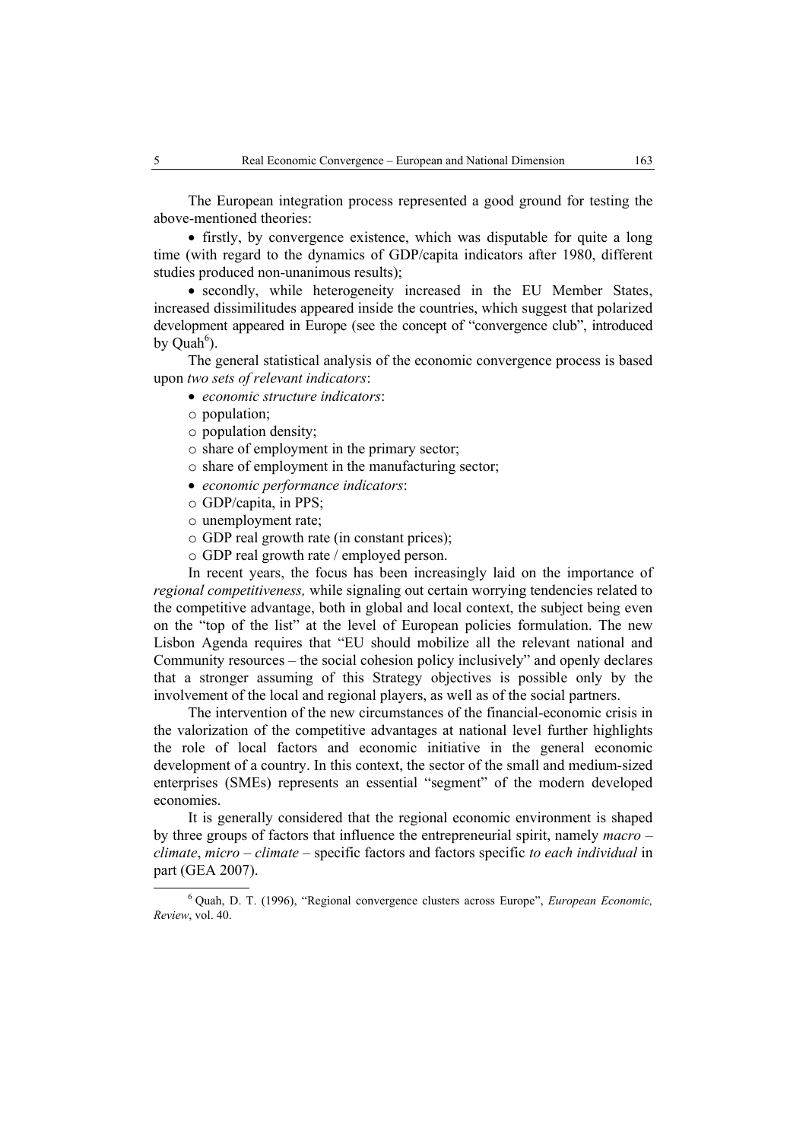The European integration process represented a good ground for testing the above-mentioned theories:

• firstly, by convergence existence, which was disputable for quite a long time (with regard to the dynamics of GDP/capita indicators after 1980, different studies produced non-unanimous results);

• secondly, while heterogeneity increased in the EU Member States, increased dissimilitudes appeared inside the countries, which suggest that polarized development appeared in Europe (see the concept of "convergence club", introduced by  $\widehat{\text{Quah}^6}$ ).

The general statistical analysis of the economic convergence process is based upon *two sets of relevant indicators*:

- *economic structure indicators*:
- o population;
- o population density;
- o share of employment in the primary sector;
- o share of employment in the manufacturing sector;
- *economic performance indicators*:
- o GDP/capita, in PPS;
- o unemployment rate;
- o GDP real growth rate (in constant prices);
- o GDP real growth rate / employed person.

In recent years, the focus has been increasingly laid on the importance of *regional competitiveness,* while signaling out certain worrying tendencies related to the competitive advantage, both in global and local context, the subject being even on the "top of the list" at the level of European policies formulation. The new Lisbon Agenda requires that "EU should mobilize all the relevant national and Community resources – the social cohesion policy inclusively" and openly declares that a stronger assuming of this Strategy objectives is possible only by the involvement of the local and regional players, as well as of the social partners.

The intervention of the new circumstances of the financial-economic crisis in the valorization of the competitive advantages at national level further highlights the role of local factors and economic initiative in the general economic development of a country. In this context, the sector of the small and medium-sized enterprises (SMEs) represents an essential "segment" of the modern developed economies.

It is generally considered that the regional economic environment is shaped by three groups of factors that influence the entrepreneurial spirit, namely *macro – climate*, *micro – climate –* specific factors and factors specific *to each individual* in part (GEA 2007).

 <sup>6</sup> Quah, D. T. (1996), "Regional convergence clusters across Europe", *European Economic, Review*, vol. 40.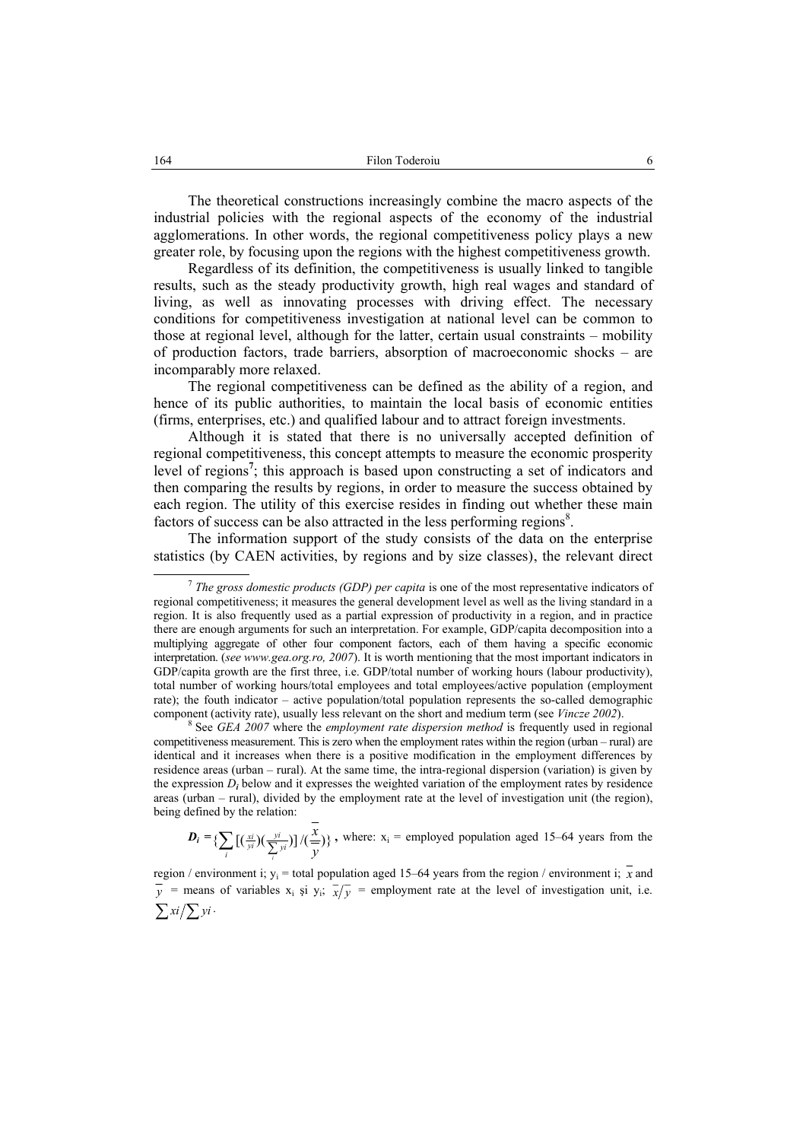The theoretical constructions increasingly combine the macro aspects of the industrial policies with the regional aspects of the economy of the industrial agglomerations. In other words, the regional competitiveness policy plays a new greater role, by focusing upon the regions with the highest competitiveness growth.

Regardless of its definition, the competitiveness is usually linked to tangible results, such as the steady productivity growth, high real wages and standard of living, as well as innovating processes with driving effect. The necessary conditions for competitiveness investigation at national level can be common to those at regional level, although for the latter, certain usual constraints – mobility of production factors, trade barriers, absorption of macroeconomic shocks – are incomparably more relaxed.

The regional competitiveness can be defined as the ability of a region, and hence of its public authorities, to maintain the local basis of economic entities (firms, enterprises, etc.) and qualified labour and to attract foreign investments.

Although it is stated that there is no universally accepted definition of regional competitiveness, this concept attempts to measure the economic prosperity level of regions**<sup>7</sup>** ; this approach is based upon constructing a set of indicators and then comparing the results by regions, in order to measure the success obtained by each region. The utility of this exercise resides in finding out whether these main factors of success can be also attracted in the less performing regions<sup>8</sup>.

The information support of the study consists of the data on the enterprise statistics (by CAEN activities, by regions and by size classes), the relevant direct

 $D_i = \left\{ \sum \left[ \left( \frac{xi}{w} \right) \left( \frac{yi}{\sum_{i} y} \right) \right] / \left( \frac{x}{w} \right) \right\}$ *y x i yi yi*  $\sum_i$   $[(\frac{x^i}{y^i})(\frac{y^i}{\sum y^j})]/(\frac{x}{y})$ , where:  $x_i$  = employed population aged 15–64 years from the

region / environment i;  $y_i$  = total population aged 15–64 years from the region / environment i;  $\overline{x}$  and  $\overline{y}$  = means of variables x<sub>i</sub> și y<sub>i</sub>;  $\overline{x}/\overline{y}$  = employment rate at the level of investigation unit, i.e.  $\sum x_i/\sum y_i$ .

 <sup>7</sup> *The gross domestic products (GDP) per capita* is one of the most representative indicators of regional competitiveness; it measures the general development level as well as the living standard in a region. It is also frequently used as a partial expression of productivity in a region, and in practice there are enough arguments for such an interpretation. For example, GDP/capita decomposition into a multiplying aggregate of other four component factors, each of them having a specific economic interpretation. (*see www.gea.org.ro, 2007*). It is worth mentioning that the most important indicators in GDP/capita growth are the first three, i.e. GDP/total number of working hours (labour productivity), total number of working hours/total employees and total employees/active population (employment rate); the fouth indicator – active population/total population represents the so-called demographic component (activity rate), usually less relevant on the short and medium term (see *Vincze 2002*).

See *GEA 2007* where the *employment rate dispersion method* is frequently used in regional competitiveness measurement. This is zero when the employment rates within the region (urban – rural) are identical and it increases when there is a positive modification in the employment differences by residence areas (urban – rural). At the same time, the intra-regional dispersion (variation) is given by the expression  $D_i$  below and it expresses the weighted variation of the employment rates by residence areas (urban – rural), divided by the employment rate at the level of investigation unit (the region), being defined by the relation: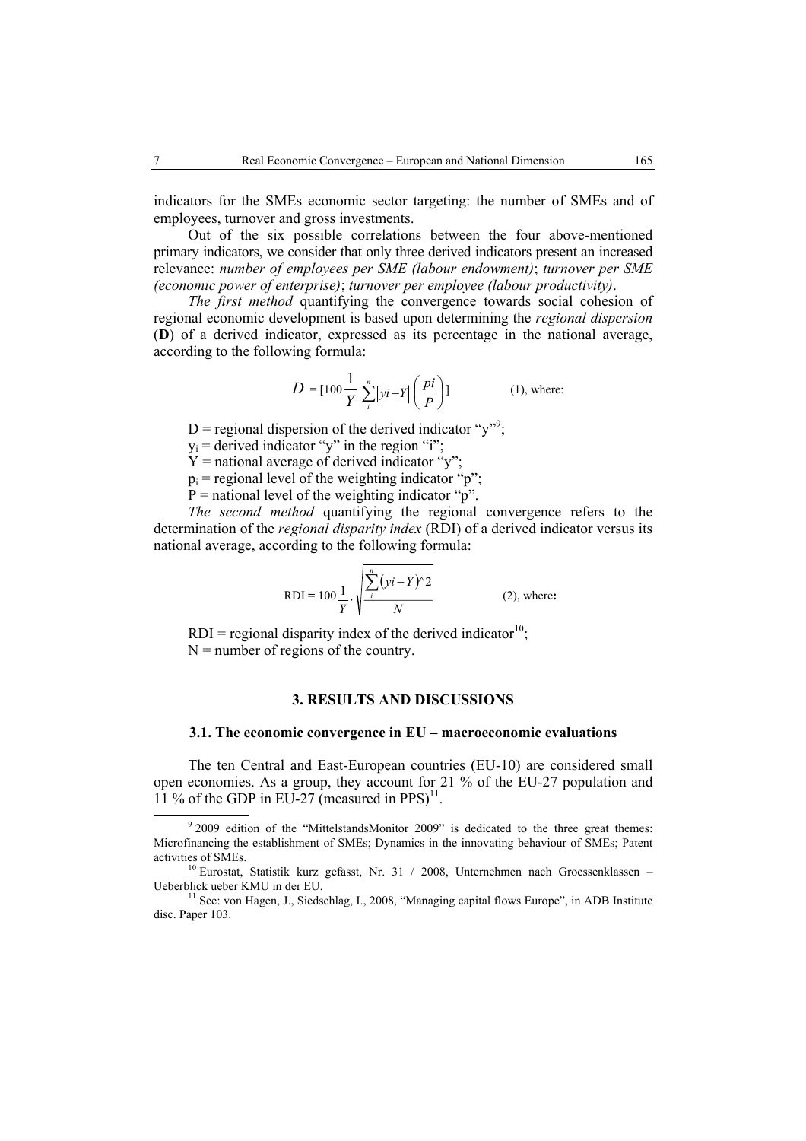indicators for the SMEs economic sector targeting: the number of SMEs and of employees, turnover and gross investments.

Out of the six possible correlations between the four above-mentioned primary indicators, we consider that only three derived indicators present an increased relevance: *number of employees per SME (labour endowment)*; *turnover per SME (economic power of enterprise)*; *turnover per employee (labour productivity)*.

*The first method* quantifying the convergence towards social cohesion of regional economic development is based upon determining the *regional dispersion*  (**D**) of a derived indicator, expressed as its percentage in the national average, according to the following formula:

$$
D = [100 \frac{1}{Y} \sum_{i}^{n} |yi - Y| \left( \frac{pi}{P} \right)]
$$
 (1), where:

D = regional dispersion of the derived indicator "y"<sup>9</sup>;

 $y_i$  = derived indicator "y" in the region "i";

 $Y =$  national average of derived indicator "y";

 $p_i$  = regional level of the weighting indicator "p";

 $P =$  national level of the weighting indicator "p".

*The second method* quantifying the regional convergence refers to the determination of the *regional disparity index* (RDI) of a derived indicator versus its national average, according to the following formula:

RDI = 100 
$$
\frac{1}{Y} \cdot \sqrt{\frac{\sum_{i}^{n} (yi - Y)^{2}}{N}}
$$
 (2), where:

RDI = regional disparity index of the derived indicator<sup>10</sup>;  $N =$  number of regions of the country.

## **3. RESULTS AND DISCUSSIONS**

## **3.1. The economic convergence in EU – macroeconomic evaluations**

The ten Central and East-European countries (EU-10) are considered small open economies. As a group, they account for 21 % of the EU-27 population and 11 % of the GDP in EU-27 (measured in PPS) $^{11}$ .

 <sup>9</sup>  $9$  2009 edition of the "MittelstandsMonitor 2009" is dedicated to the three great themes: Microfinancing the establishment of SMEs; Dynamics in the innovating behaviour of SMEs; Patent

 $10$  Eurostat, Statistik kurz gefasst, Nr. 31 / 2008, Unternehmen nach Groessenklassen – Ueberblick ueber KMU in der EU.<br><sup>11</sup> See: von Hagen, J., Siedschlag, I., 2008, "Managing capital flows Europe", in ADB Institute

disc. Paper 103.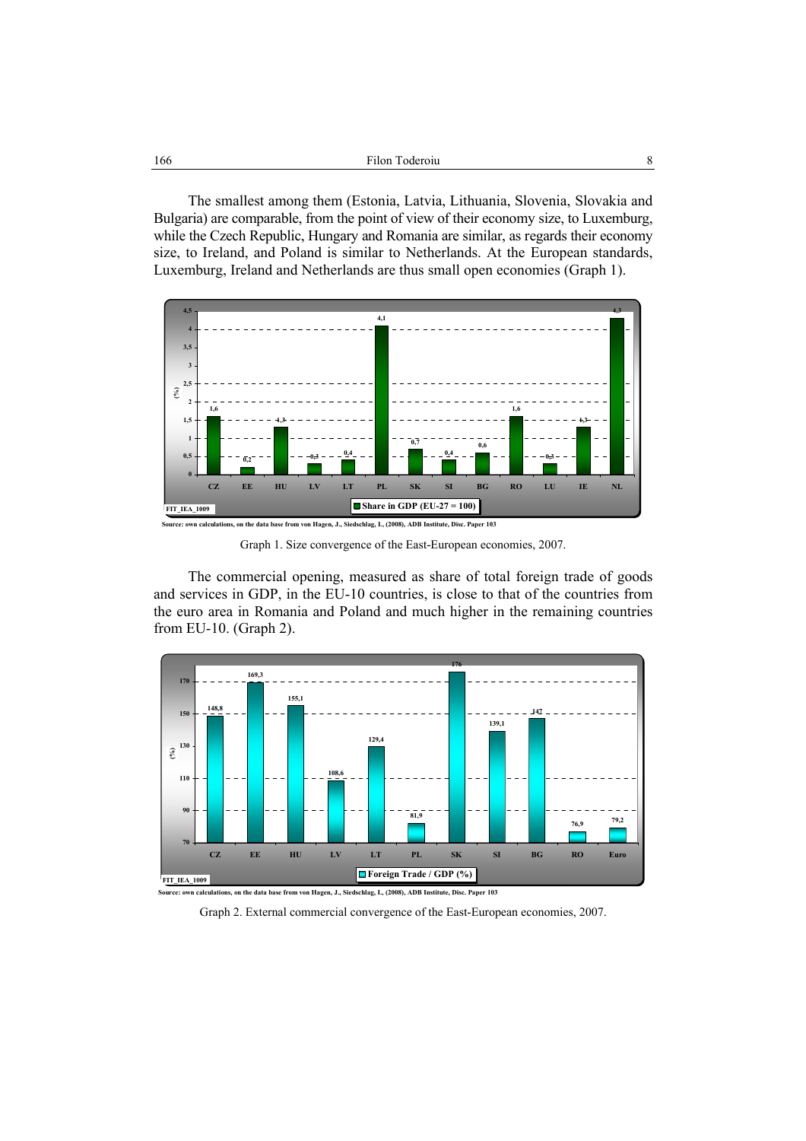| 166 | Filon Toderoiu |  |
|-----|----------------|--|
|-----|----------------|--|

The smallest among them (Estonia, Latvia, Lithuania, Slovenia, Slovakia and Bulgaria) are comparable, from the point of view of their economy size, to Luxemburg, while the Czech Republic, Hungary and Romania are similar, as regards their economy size, to Ireland, and Poland is similar to Netherlands. At the European standards, Luxemburg, Ireland and Netherlands are thus small open economies (Graph 1).



Graph 1. Size convergence of the East-European economies, 2007.

The commercial opening, measured as share of total foreign trade of goods and services in GDP, in the EU-10 countries, is close to that of the countries from the euro area in Romania and Poland and much higher in the remaining countries from EU-10. (Graph 2).



**Source: own calculations, on the data base from von Hagen, J., Siedschlag, I., (2008), ADB Institute, Disc. Paper 103**

Graph 2. External commercial convergence of the East-European economies, 2007.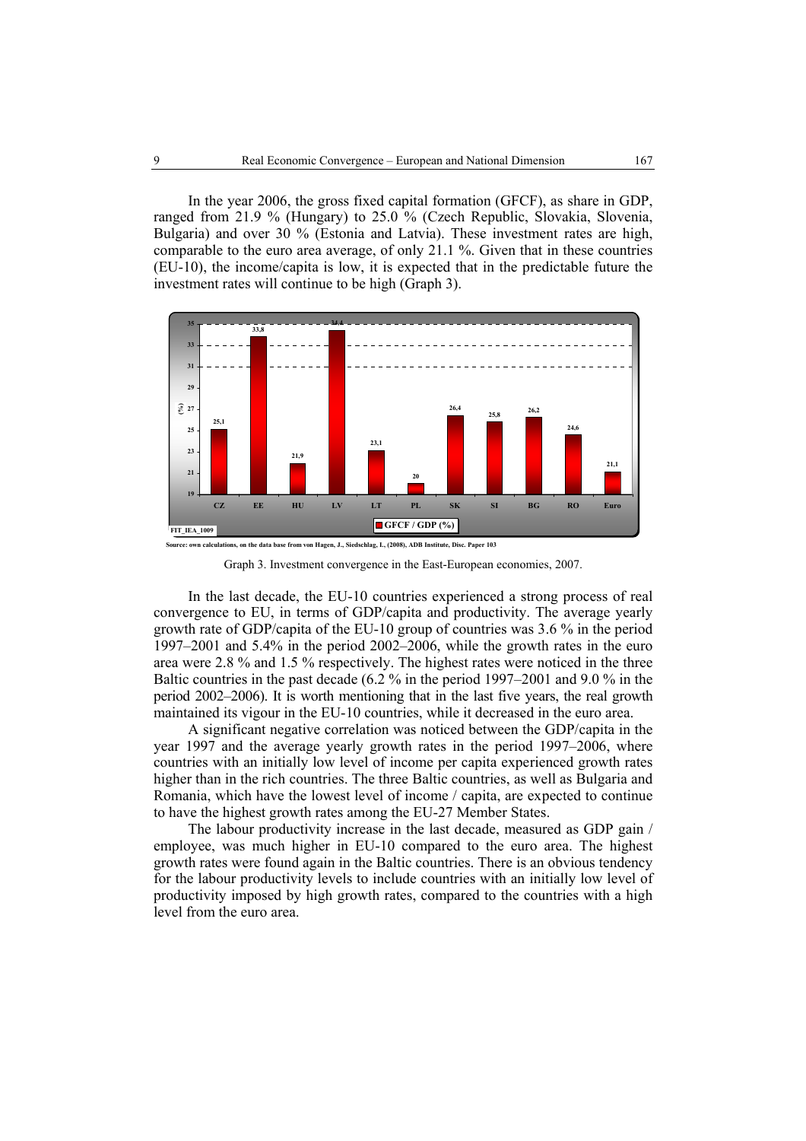In the year 2006, the gross fixed capital formation (GFCF), as share in GDP, ranged from 21.9 % (Hungary) to 25.0 % (Czech Republic, Slovakia, Slovenia, Bulgaria) and over 30 % (Estonia and Latvia). These investment rates are high, comparable to the euro area average, of only 21.1 %. Given that in these countries (EU-10), the income/capita is low, it is expected that in the predictable future the investment rates will continue to be high (Graph 3).



Graph 3. Investment convergence in the East-European economies, 2007.

In the last decade, the EU-10 countries experienced a strong process of real convergence to EU, in terms of GDP/capita and productivity. The average yearly growth rate of GDP/capita of the EU-10 group of countries was 3.6 % in the period 1997–2001 and 5.4% in the period 2002–2006, while the growth rates in the euro area were 2.8 % and 1.5 % respectively. The highest rates were noticed in the three Baltic countries in the past decade (6.2 % in the period 1997–2001 and 9.0 % in the period 2002–2006). It is worth mentioning that in the last five years, the real growth maintained its vigour in the EU-10 countries, while it decreased in the euro area.

A significant negative correlation was noticed between the GDP/capita in the year 1997 and the average yearly growth rates in the period 1997–2006, where countries with an initially low level of income per capita experienced growth rates higher than in the rich countries. The three Baltic countries, as well as Bulgaria and Romania, which have the lowest level of income / capita, are expected to continue to have the highest growth rates among the EU-27 Member States.

The labour productivity increase in the last decade, measured as GDP gain / employee, was much higher in EU-10 compared to the euro area. The highest growth rates were found again in the Baltic countries. There is an obvious tendency for the labour productivity levels to include countries with an initially low level of productivity imposed by high growth rates, compared to the countries with a high level from the euro area.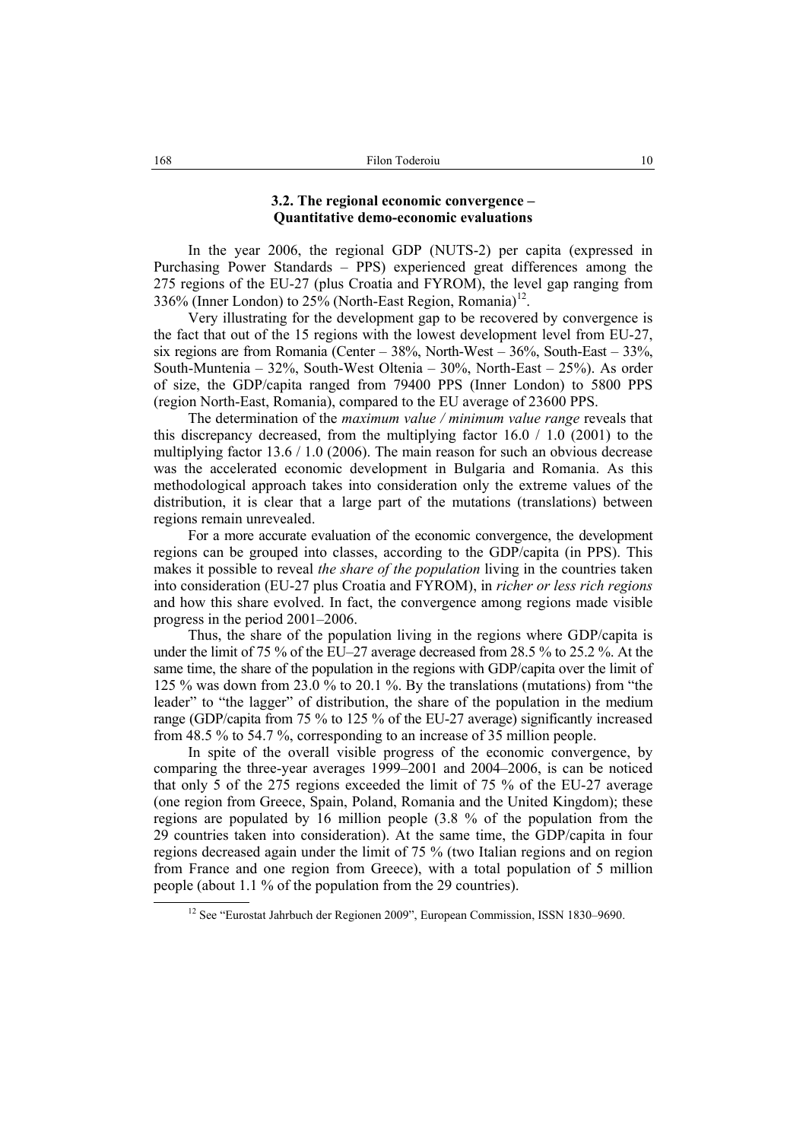# **3.2. The regional economic convergence – Quantitative demo-economic evaluations**

In the year 2006, the regional GDP (NUTS-2) per capita (expressed in Purchasing Power Standards – PPS) experienced great differences among the 275 regions of the EU-27 (plus Croatia and FYROM), the level gap ranging from 336% (Inner London) to 25% (North-East Region, Romania)<sup>12</sup>.

Very illustrating for the development gap to be recovered by convergence is the fact that out of the 15 regions with the lowest development level from EU-27, six regions are from Romania (Center –  $38\%$ , North-West –  $36\%$ , South-East –  $33\%$ , South-Muntenia – 32%, South-West Oltenia – 30%, North-East – 25%). As order of size, the GDP/capita ranged from 79400 PPS (Inner London) to 5800 PPS (region North-East, Romania), compared to the EU average of 23600 PPS.

The determination of the *maximum value / minimum value range* reveals that this discrepancy decreased, from the multiplying factor  $16.0 / 1.0$  (2001) to the multiplying factor 13.6 / 1.0 (2006). The main reason for such an obvious decrease was the accelerated economic development in Bulgaria and Romania. As this methodological approach takes into consideration only the extreme values of the distribution, it is clear that a large part of the mutations (translations) between regions remain unrevealed.

For a more accurate evaluation of the economic convergence, the development regions can be grouped into classes, according to the GDP/capita (in PPS). This makes it possible to reveal *the share of the population* living in the countries taken into consideration (EU-27 plus Croatia and FYROM), in *richer or less rich regions* and how this share evolved. In fact, the convergence among regions made visible progress in the period 2001–2006.

Thus, the share of the population living in the regions where GDP/capita is under the limit of 75 % of the EU–27 average decreased from 28.5 % to 25.2 %. At the same time, the share of the population in the regions with GDP/capita over the limit of 125 % was down from 23.0 % to 20.1 %. By the translations (mutations) from "the leader" to "the lagger" of distribution, the share of the population in the medium range (GDP/capita from 75 % to 125 % of the EU-27 average) significantly increased from 48.5 % to 54.7 %, corresponding to an increase of 35 million people.

In spite of the overall visible progress of the economic convergence, by comparing the three-year averages 1999–2001 and 2004–2006, is can be noticed that only 5 of the 275 regions exceeded the limit of 75 % of the EU-27 average (one region from Greece, Spain, Poland, Romania and the United Kingdom); these regions are populated by 16 million people (3.8 % of the population from the 29 countries taken into consideration). At the same time, the GDP/capita in four regions decreased again under the limit of 75 % (two Italian regions and on region from France and one region from Greece), with a total population of 5 million people (about 1.1 % of the population from the 29 countries).

<sup>&</sup>lt;sup>12</sup> See "Eurostat Jahrbuch der Regionen 2009", European Commission, ISSN 1830-9690.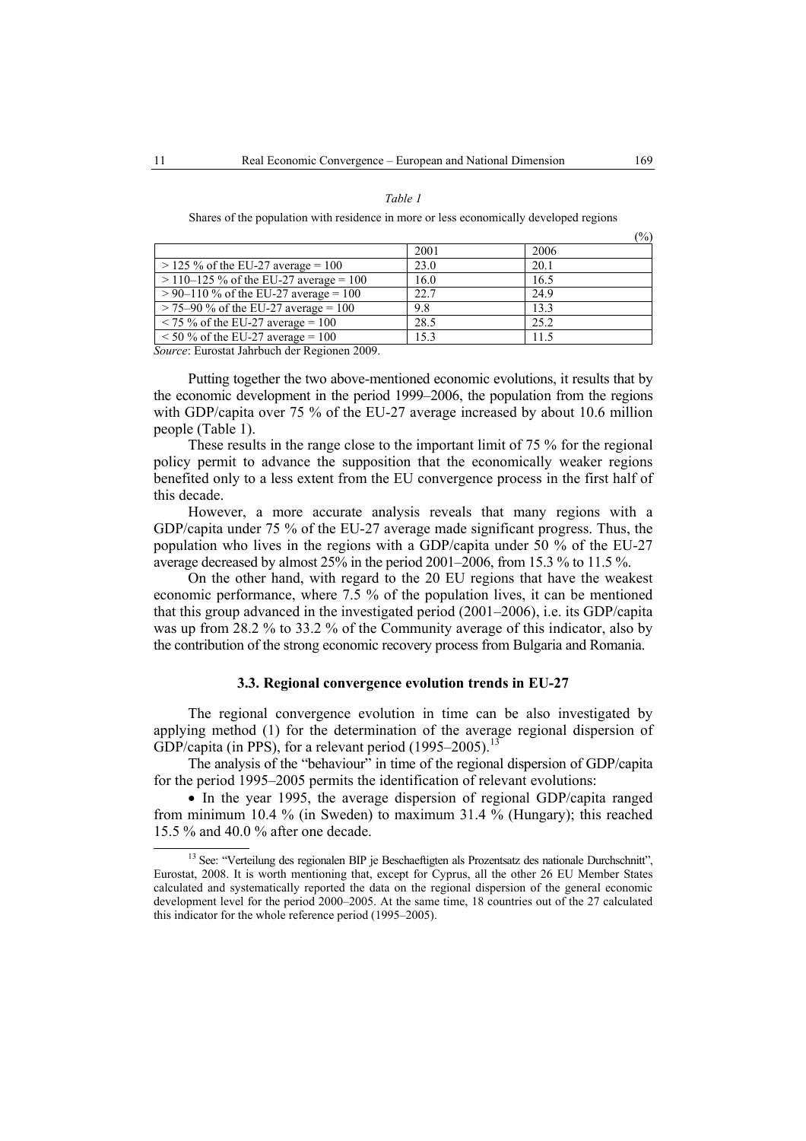#### *Table 1*

Shares of the population with residence in more or less economically developed regions

|                                           |      | $\sqrt{0}$ |
|-------------------------------------------|------|------------|
|                                           | 2001 | 2006       |
| $>$ 125 % of the EU-27 average = 100      | 23.0 | 20.1       |
| $>$ 110–125 % of the EU-27 average = 100  | 16.0 | 16.5       |
| $> 90 - 110$ % of the EU-27 average = 100 | 22.7 | 24.9       |
| $>$ 75–90 % of the EU-27 average = 100    | 9.8  | 13.3       |
| $\le$ 75 % of the EU-27 average = 100     | 28.5 | 25.2       |
| $\le$ 50 % of the EU-27 average = 100     | 15.3 | 115        |

*Source*: Eurostat Jahrbuch der Regionen 2009.

Putting together the two above-mentioned economic evolutions, it results that by the economic development in the period 1999–2006, the population from the regions with GDP/capita over 75 % of the EU-27 average increased by about 10.6 million people (Table 1).

These results in the range close to the important limit of 75 % for the regional policy permit to advance the supposition that the economically weaker regions benefited only to a less extent from the EU convergence process in the first half of this decade.

However, a more accurate analysis reveals that many regions with a GDP/capita under 75 % of the EU-27 average made significant progress. Thus, the population who lives in the regions with a GDP/capita under 50 % of the EU-27 average decreased by almost 25% in the period 2001–2006, from 15.3 % to 11.5 %.

On the other hand, with regard to the 20 EU regions that have the weakest economic performance, where 7.5 % of the population lives, it can be mentioned that this group advanced in the investigated period (2001–2006), i.e. its GDP/capita was up from 28.2 % to 33.2 % of the Community average of this indicator, also by the contribution of the strong economic recovery process from Bulgaria and Romania.

#### **3.3. Regional convergence evolution trends in EU-27**

The regional convergence evolution in time can be also investigated by applying method (1) for the determination of the average regional dispersion of GDP/capita (in PPS), for a relevant period  $(1995-2005)$ .<sup>13</sup>

The analysis of the "behaviour" in time of the regional dispersion of GDP/capita for the period 1995–2005 permits the identification of relevant evolutions:

• In the year 1995, the average dispersion of regional GDP/capita ranged from minimum 10.4 % (in Sweden) to maximum 31.4 % (Hungary); this reached 15.5 % and 40.0 % after one decade.

 $(0/3)$ 

<sup>&</sup>lt;sup>13</sup> See: "Verteilung des regionalen BIP je Beschaeftigten als Prozentsatz des nationale Durchschnitt", Eurostat, 2008. It is worth mentioning that, except for Cyprus, all the other 26 EU Member States calculated and systematically reported the data on the regional dispersion of the general economic development level for the period 2000–2005. At the same time, 18 countries out of the 27 calculated this indicator for the whole reference period (1995–2005).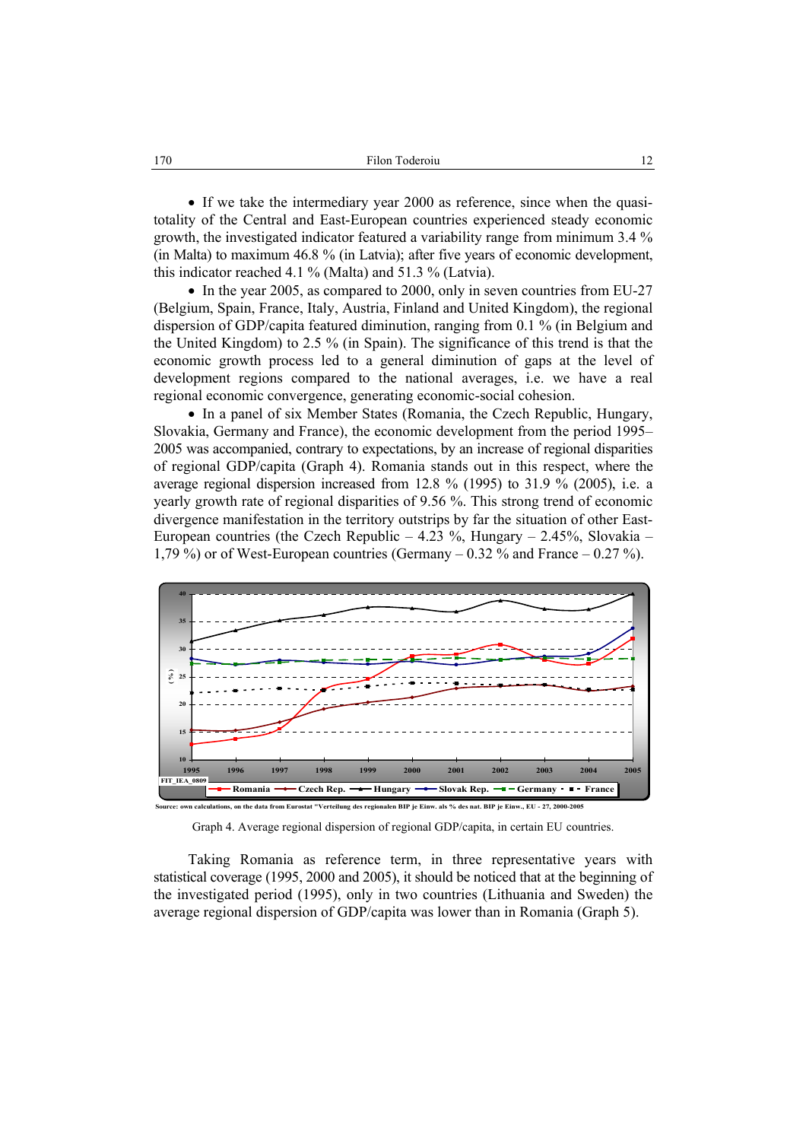• If we take the intermediary year 2000 as reference, since when the quasitotality of the Central and East-European countries experienced steady economic growth, the investigated indicator featured a variability range from minimum 3.4 % (in Malta) to maximum 46.8 % (in Latvia); after five years of economic development, this indicator reached 4.1 % (Malta) and 51.3 % (Latvia).

• In the year 2005, as compared to 2000, only in seven countries from EU-27 (Belgium, Spain, France, Italy, Austria, Finland and United Kingdom), the regional dispersion of GDP/capita featured diminution, ranging from 0.1 % (in Belgium and the United Kingdom) to 2.5 % (in Spain). The significance of this trend is that the economic growth process led to a general diminution of gaps at the level of development regions compared to the national averages, i.e. we have a real regional economic convergence, generating economic-social cohesion.

• In a panel of six Member States (Romania, the Czech Republic, Hungary, Slovakia, Germany and France), the economic development from the period 1995– 2005 was accompanied, contrary to expectations, by an increase of regional disparities of regional GDP/capita (Graph 4). Romania stands out in this respect, where the average regional dispersion increased from 12.8 % (1995) to 31.9 % (2005), i.e. a yearly growth rate of regional disparities of 9.56 %. This strong trend of economic divergence manifestation in the territory outstrips by far the situation of other East-European countries (the Czech Republic  $-4.23$  %, Hungary  $-2.45$ %, Slovakia – 1,79 %) or of West-European countries (Germany  $-0.32$  % and France  $-0.27$  %).



Graph 4. Average regional dispersion of regional GDP/capita, in certain EU countries.

Taking Romania as reference term, in three representative years with statistical coverage (1995, 2000 and 2005), it should be noticed that at the beginning of the investigated period (1995), only in two countries (Lithuania and Sweden) the average regional dispersion of GDP/capita was lower than in Romania (Graph 5).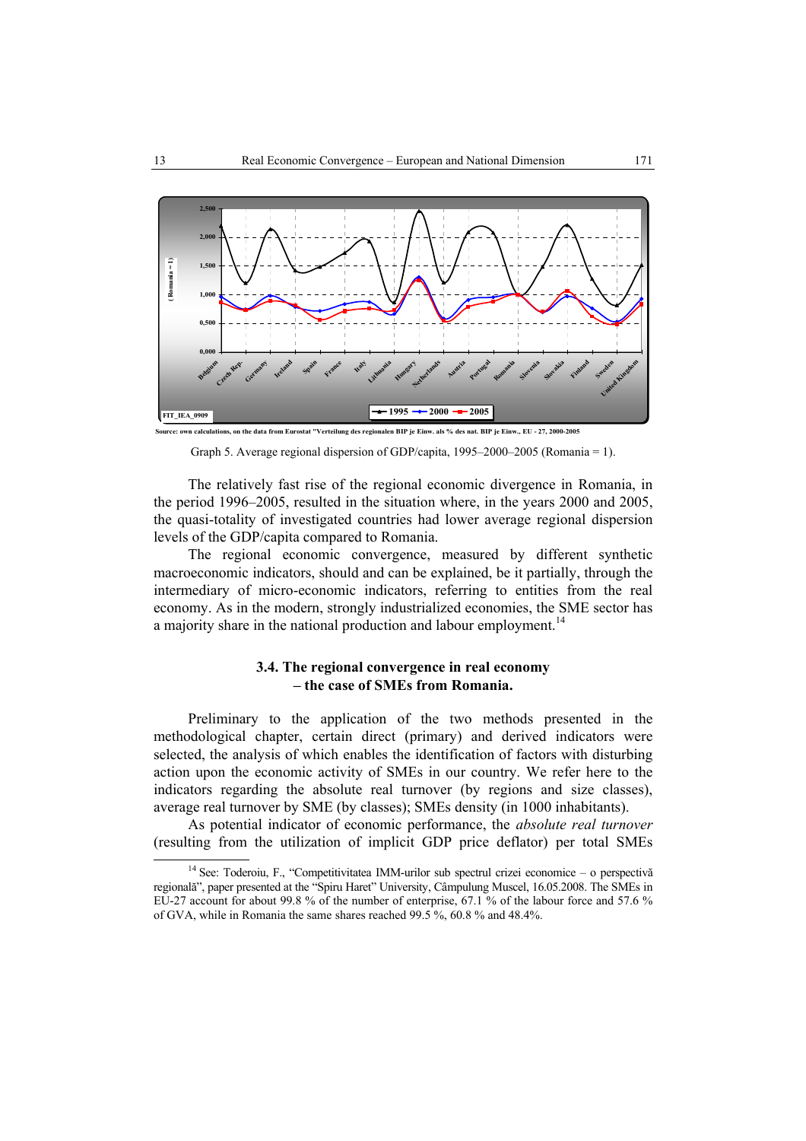

Graph 5. Average regional dispersion of GDP/capita, 1995–2000–2005 (Romania = 1).

The relatively fast rise of the regional economic divergence in Romania, in the period 1996–2005, resulted in the situation where, in the years 2000 and 2005, the quasi-totality of investigated countries had lower average regional dispersion levels of the GDP/capita compared to Romania.

The regional economic convergence, measured by different synthetic macroeconomic indicators, should and can be explained, be it partially, through the intermediary of micro-economic indicators, referring to entities from the real economy. As in the modern, strongly industrialized economies, the SME sector has a majority share in the national production and labour employment.<sup>14</sup>

# **3.4. The regional convergence in real economy – the case of SMEs from Romania.**

Preliminary to the application of the two methods presented in the methodological chapter, certain direct (primary) and derived indicators were selected, the analysis of which enables the identification of factors with disturbing action upon the economic activity of SMEs in our country. We refer here to the indicators regarding the absolute real turnover (by regions and size classes), average real turnover by SME (by classes); SMEs density (in 1000 inhabitants).

As potential indicator of economic performance, the *absolute real turnover* (resulting from the utilization of implicit GDP price deflator) per total SMEs

<sup>&</sup>lt;sup>14</sup> See: Toderoiu, F., "Competitivitatea IMM-urilor sub spectrul crizei economice – o perspectivă regională", paper presented at the "Spiru Haret" University, Câmpulung Muscel, 16.05.2008. The SMEs in EU-27 account for about 99.8 % of the number of enterprise, 67.1 % of the labour force and 57.6 % of GVA, while in Romania the same shares reached 99.5 %, 60.8 % and 48.4%.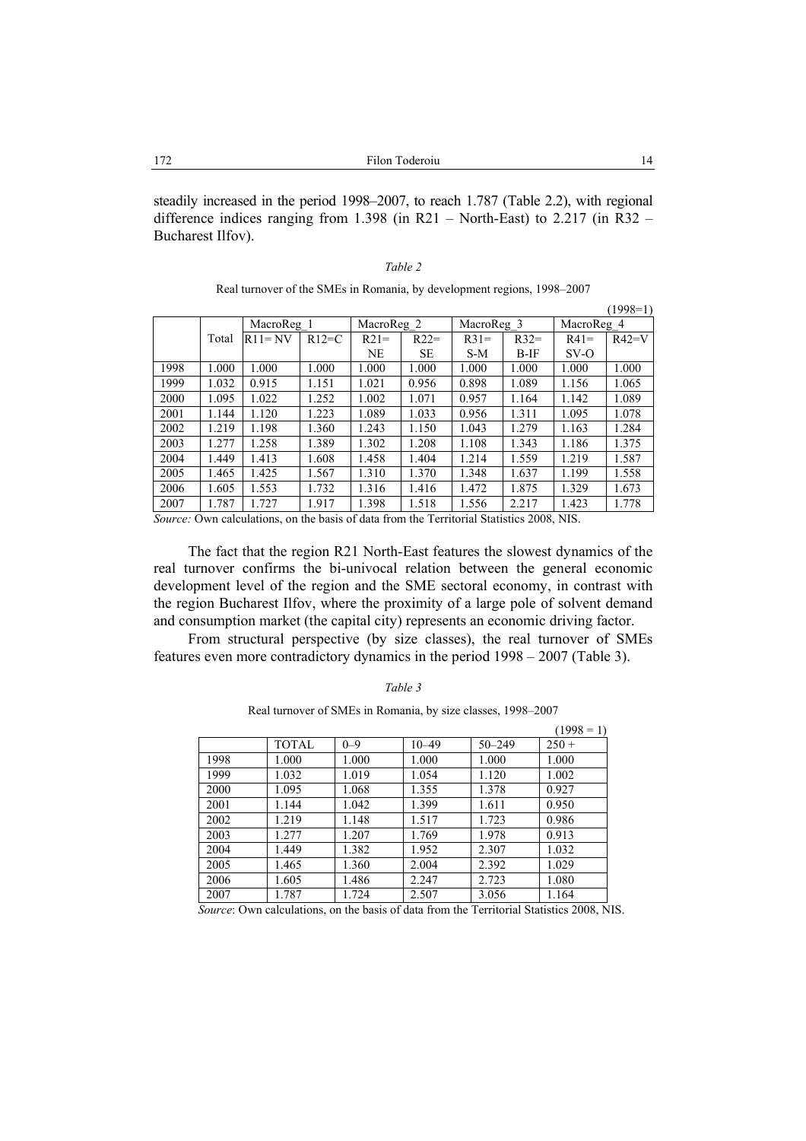steadily increased in the period 1998–2007, to reach 1.787 (Table 2.2), with regional difference indices ranging from 1.398 (in R21 – North-East) to 2.217 (in R32 – Bucharest Ilfov).

# *Table 2*

Real turnover of the SMEs in Romania, by development regions, 1998–2007

|      |       |            |         |            |           |            |        |            | $(1998=1)$ |
|------|-------|------------|---------|------------|-----------|------------|--------|------------|------------|
|      |       | MacroReg 1 |         | MacroReg 2 |           | MacroReg 3 |        | MacroReg 4 |            |
|      | Total | $R11 = NV$ | $R12=C$ | $R21=$     | $R22=$    | $R31=$     | $R32=$ | $R41=$     | $R42=V$    |
|      |       |            |         | NE         | <b>SE</b> | $S-M$      | $B-IF$ | $SV$ -O    |            |
| 1998 | 1.000 | 1.000      | 1.000   | 1.000      | 1.000     | 1.000      | 1.000  | 1.000      | 1.000      |
| 1999 | 1.032 | 0.915      | 1.151   | 1.021      | 0.956     | 0.898      | 1.089  | 1.156      | 1.065      |
| 2000 | 1.095 | 1.022      | 1.252   | 1.002      | 1.071     | 0.957      | 1.164  | 1.142      | 1.089      |
| 2001 | 1.144 | 1.120      | 1.223   | 1.089      | 1.033     | 0.956      | 1.311  | 1.095      | 1.078      |
| 2002 | 1.219 | 1.198      | 1.360   | 1.243      | 1.150     | 1.043      | 1.279  | 1.163      | 1.284      |
| 2003 | 1.277 | 1.258      | 1.389   | 1.302      | 1.208     | 1.108      | 1.343  | 1.186      | 1.375      |
| 2004 | 1.449 | 1.413      | 1.608   | 1.458      | 1.404     | 1.214      | 1.559  | 1.219      | 1.587      |
| 2005 | 1.465 | 1.425      | 1.567   | 1.310      | 1.370     | 1.348      | 1.637  | 1.199      | 1.558      |
| 2006 | 1.605 | 1.553      | 1.732   | 1.316      | 1.416     | 1.472      | 1.875  | 1.329      | 1.673      |
| 2007 | 1.787 | 1.727      | 1.917   | 1.398      | 1.518     | 1.556      | 2.217  | 1.423      | 1.778      |

*Source:* Own calculations, on the basis of data from the Territorial Statistics 2008, NIS.

The fact that the region R21 North-East features the slowest dynamics of the real turnover confirms the bi-univocal relation between the general economic development level of the region and the SME sectoral economy, in contrast with the region Bucharest Ilfov, where the proximity of a large pole of solvent demand and consumption market (the capital city) represents an economic driving factor.

From structural perspective (by size classes), the real turnover of SMEs features even more contradictory dynamics in the period 1998 – 2007 (Table 3).

| ani |  |
|-----|--|
|     |  |

Real turnover of SMEs in Romania, by size classes, 1998–2007

|      |       |         |           |            | $(1998 = 1)$ |
|------|-------|---------|-----------|------------|--------------|
|      | TOTAL | $0 - 9$ | $10 - 49$ | $50 - 249$ | $250 +$      |
| 1998 | 1.000 | 1.000   | 1.000     | 1.000      | 1.000        |
| 1999 | 1.032 | 1.019   | 1.054     | 1.120      | 1.002        |
| 2000 | 1.095 | 1.068   | 1.355     | 1.378      | 0.927        |
| 2001 | 1.144 | 1.042   | 1.399     | 1.611      | 0.950        |
| 2002 | 1.219 | 1.148   | 1.517     | 1.723      | 0.986        |
| 2003 | 1.277 | 1.207   | 1.769     | 1.978      | 0.913        |
| 2004 | 1.449 | 1.382   | 1.952     | 2.307      | 1.032        |
| 2005 | 1.465 | 1.360   | 2.004     | 2.392      | 1.029        |
| 2006 | 1.605 | 1.486   | 2.247     | 2.723      | 1.080        |
| 2007 | 1.787 | 1.724   | 2.507     | 3.056      | 1.164        |

*Source*: Own calculations, on the basis of data from the Territorial Statistics 2008, NIS.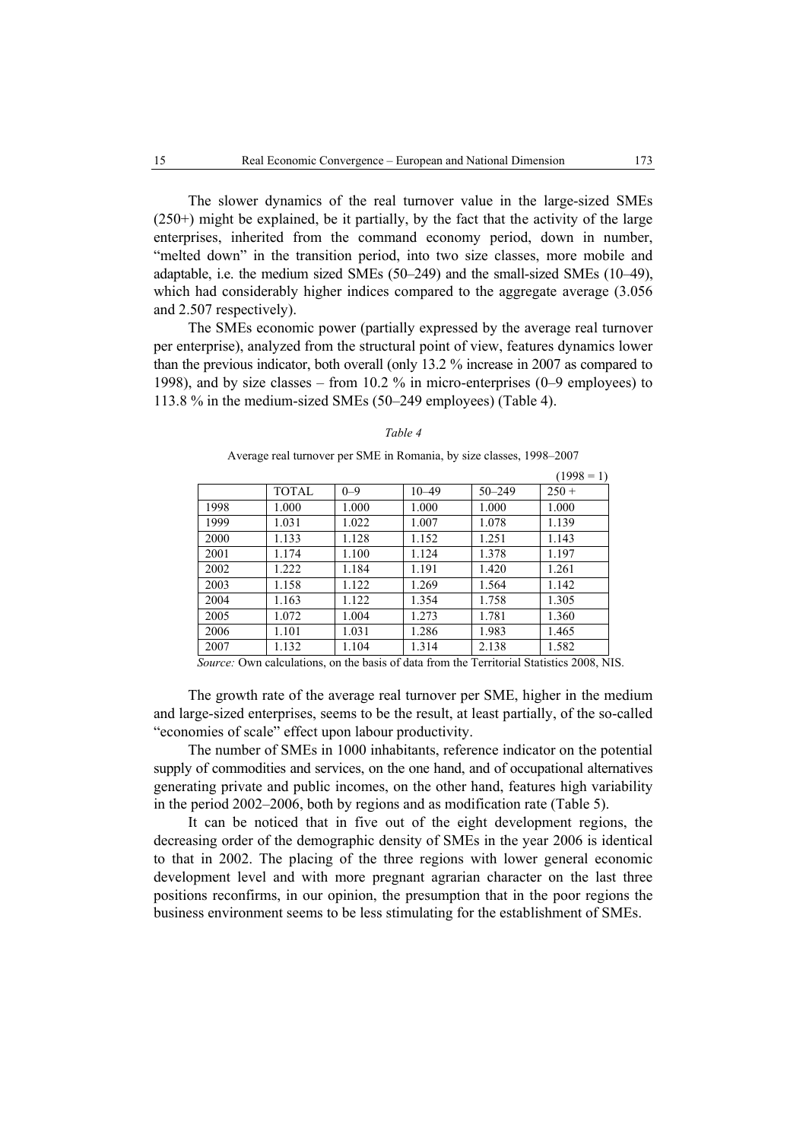The slower dynamics of the real turnover value in the large-sized SMEs (250+) might be explained, be it partially, by the fact that the activity of the large enterprises, inherited from the command economy period, down in number, "melted down" in the transition period, into two size classes, more mobile and adaptable, i.e. the medium sized SMEs (50–249) and the small-sized SMEs (10–49), which had considerably higher indices compared to the aggregate average (3.056 and 2.507 respectively).

The SMEs economic power (partially expressed by the average real turnover per enterprise), analyzed from the structural point of view, features dynamics lower than the previous indicator, both overall (only 13.2 % increase in 2007 as compared to 1998), and by size classes – from 10.2 % in micro-enterprises (0–9 employees) to 113.8 % in the medium-sized SMEs (50–249 employees) (Table 4).

#### *Table 4*

Average real turnover per SME in Romania, by size classes, 1998–2007

|      |              |         |                      |            | $(1998 - 1)$ |
|------|--------------|---------|----------------------|------------|--------------|
|      | <b>TOTAL</b> | $0 - 9$ | $10 - 49$            | $50 - 249$ | $250 +$      |
| 1998 | 1.000        | 1.000   | 1.000                | 1.000      | 1.000        |
| 1999 | 1.031        | 1.022   | 1.007                | 1.078      | 1.139        |
| 2000 | 1.133        | 1.128   | 1.152                | 1.251      | 1.143        |
| 2001 | 1.174        | 1.100   | 1.124                | 1.378      | 1.197        |
| 2002 | 1.222        | 1.184   | 1.191                | 1.420      | 1.261        |
| 2003 | 1.158        | 1.122   | 1.269                | 1.564      | 1.142        |
| 2004 | 1.163        | 1.122   | 1.354                | 1.758      | 1.305        |
| 2005 | 1.072        | 1.004   | 1.273                | 1.781      | 1.360        |
| 2006 | 1.101        | 1.031   | 1.286                | 1.983      | 1.465        |
| 2007 | 1.132        | 1.104   | 1.314                | 2.138      | 1.582        |
|      | .            | .       | $\sim$ $\sim$ $\sim$ |            |              |

*Source:* Own calculations, on the basis of data from the Territorial Statistics 2008, NIS.

The growth rate of the average real turnover per SME, higher in the medium and large-sized enterprises, seems to be the result, at least partially, of the so-called "economies of scale" effect upon labour productivity.

The number of SMEs in 1000 inhabitants, reference indicator on the potential supply of commodities and services, on the one hand, and of occupational alternatives generating private and public incomes, on the other hand, features high variability in the period 2002–2006, both by regions and as modification rate (Table 5).

It can be noticed that in five out of the eight development regions, the decreasing order of the demographic density of SMEs in the year 2006 is identical to that in 2002. The placing of the three regions with lower general economic development level and with more pregnant agrarian character on the last three positions reconfirms, in our opinion, the presumption that in the poor regions the business environment seems to be less stimulating for the establishment of SMEs.

 $(1998 - 1)$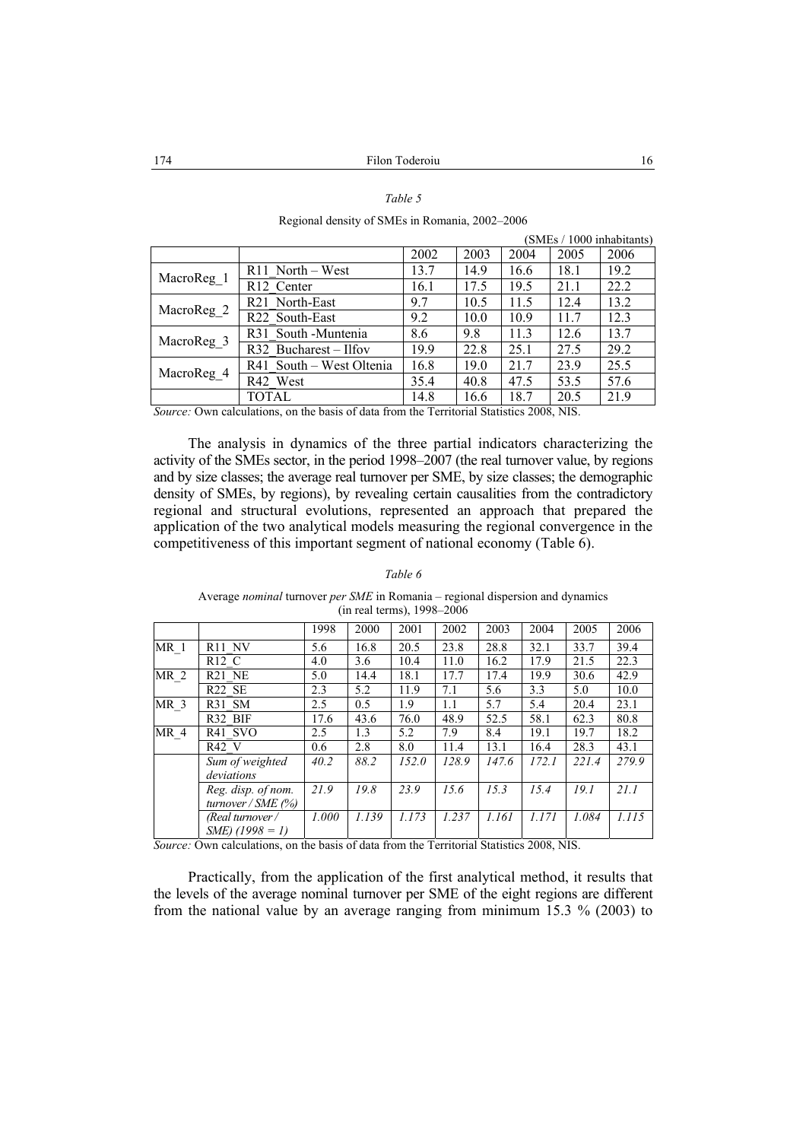## *Table 5*

Regional density of SMEs in Romania, 2002–2006

| SIVIES / TOOO INHADITANTS |                                  |      |      |      |      |      |
|---------------------------|----------------------------------|------|------|------|------|------|
|                           |                                  | 2002 | 2003 | 2004 | 2005 | 2006 |
|                           | $R11$ North – West               | 13.7 | 14.9 | 16.6 | 18.1 | 19.2 |
| MacroReg_1                | R12 Center                       | 16.1 | 17.5 | 19.5 | 21.1 | 22.2 |
|                           | R <sub>21</sub> North-East       | 9.7  | 10.5 | 11.5 | 12.4 | 13.2 |
| MacroReg 2                | R22 South-East                   | 9.2  | 10.0 | 10.9 | 11.7 | 12.3 |
|                           | R <sub>31</sub> South - Muntenia | 8.6  | 9.8  | 11.3 | 12.6 | 13.7 |
| MacroReg 3                | R32 Bucharest - Ilfov            | 19.9 | 22.8 | 25.1 | 27.5 | 29.2 |
| MacroReg_4                | R41 South – West Oltenia         | 16.8 | 19.0 | 21.7 | 23.9 | 25.5 |
|                           | R42 West                         | 35.4 | 40.8 | 47.5 | 53.5 | 57.6 |
|                           | TOTAL                            | 14.8 | 16.6 | 18.7 | 20.5 | 21.9 |

*Source:* Own calculations, on the basis of data from the Territorial Statistics 2008, NIS.

The analysis in dynamics of the three partial indicators characterizing the activity of the SMEs sector, in the period 1998–2007 (the real turnover value, by regions and by size classes; the average real turnover per SME, by size classes; the demographic density of SMEs, by regions), by revealing certain causalities from the contradictory regional and structural evolutions, represented an approach that prepared the application of the two analytical models measuring the regional convergence in the competitiveness of this important segment of national economy (Table 6).

#### *Table 6*

Average *nominal* turnover *per SME* in Romania – regional dispersion and dynamics (in real terms), 1998–2006

|                 |                                            | 1998  | 2000  | 2001  | 2002  | 2003  | 2004  | 2005  | 2006  |
|-----------------|--------------------------------------------|-------|-------|-------|-------|-------|-------|-------|-------|
| MR <sub>1</sub> | R <sub>11</sub> NV                         | 5.6   | 16.8  | 20.5  | 23.8  | 28.8  | 32.1  | 33.7  | 39.4  |
|                 | $R12\,C$                                   | 4.0   | 3.6   | 10.4  | 11.0  | 16.2  | 17.9  | 21.5  | 22.3  |
| MR <sub>2</sub> | R <sub>21</sub> N <sub>E</sub>             | 5.0   | 14.4  | 18.1  | 17.7  | 17.4  | 19.9  | 30.6  | 42.9  |
|                 | R <sub>22</sub> S <sub>E</sub>             | 2.3   | 5.2   | 11.9  | 7.1   | 5.6   | 3.3   | 5.0   | 10.0  |
| MR <sub>3</sub> | R31 SM                                     | 2.5   | 0.5   | 1.9   | 1.1   | 5.7   | 5.4   | 20.4  | 23.1  |
|                 | R32 BIF                                    | 17.6  | 43.6  | 76.0  | 48.9  | 52.5  | 58.1  | 62.3  | 80.8  |
| MR <sub>4</sub> | R41 SVO                                    | 2.5   | 1.3   | 5.2   | 7.9   | 8.4   | 19.1  | 19.7  | 18.2  |
|                 | R42 V                                      | 0.6   | 2.8   | 8.0   | 11.4  | 13.1  | 16.4  | 28.3  | 43.1  |
|                 | Sum of weighted<br>deviations              | 40.2  | 88.2  | 152.0 | 128.9 | 147.6 | 172.1 | 221.4 | 279.9 |
|                 | Reg. disp. of nom.<br>turnover / $SME$ (%) | 21.9  | 19.8  | 23.9  | 15.6  | 15.3  | 15.4  | 19.1  | 21.1  |
|                 | (Real turnover /<br>$SME(1998 = 1)$        | 1.000 | 1.139 | 1.173 | 1.237 | 1.161 | 1.171 | 1.084 | 1.115 |

*Source:* Own calculations, on the basis of data from the Territorial Statistics 2008, NIS.

Practically, from the application of the first analytical method, it results that the levels of the average nominal turnover per SME of the eight regions are different from the national value by an average ranging from minimum 15.3 % (2003) to

 $(SME<sub>s</sub> / 1000$  inhabitanta)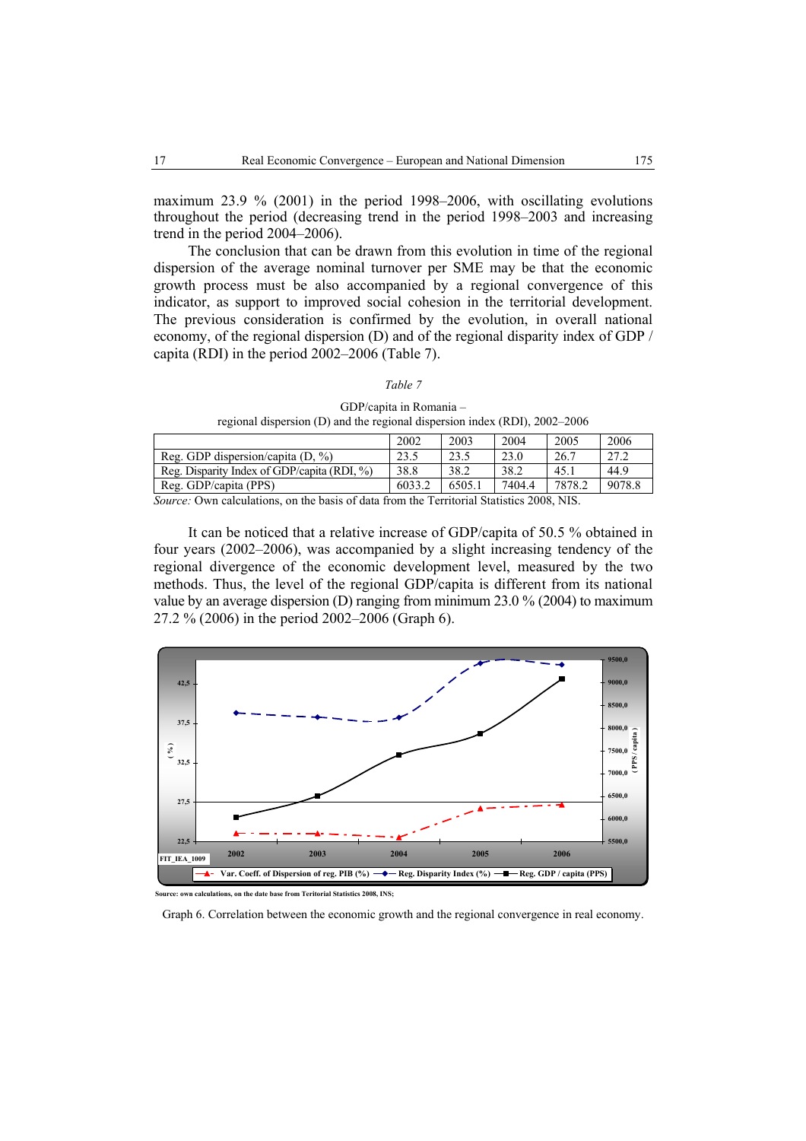maximum 23.9 % (2001) in the period 1998–2006, with oscillating evolutions throughout the period (decreasing trend in the period 1998–2003 and increasing trend in the period 2004–2006).

The conclusion that can be drawn from this evolution in time of the regional dispersion of the average nominal turnover per SME may be that the economic growth process must be also accompanied by a regional convergence of this indicator, as support to improved social cohesion in the territorial development. The previous consideration is confirmed by the evolution, in overall national economy, of the regional dispersion (D) and of the regional disparity index of GDP / capita (RDI) in the period 2002–2006 (Table 7).

#### *Table 7*

GDP/capita in Romania – regional dispersion (D) and the regional dispersion index (RDI), 2002–2006

|                                          | 2002         | 2003  | 2004   | 2005      | 2006   |
|------------------------------------------|--------------|-------|--------|-----------|--------|
| Reg. GDP dispersion/capita $(D, \%)$     | 23.1         | 23.5  | 23.0   | 26.7      | 27.2   |
| Reg. Disparity Index of GDP/capita (RDI, | 38.8         | 38.2  | 38.2   | 45.       | 44.9   |
| Reg. GDP/capita (PPS)                    | 6033.2       | 6505. | 7404.4 | 7878.2    | 9078.8 |
| $\sim$                                   | $\mathbf{r}$ |       |        | ACOO 3TTC |        |

*Source:* Own calculations, on the basis of data from the Territorial Statistics 2008, NIS.

It can be noticed that a relative increase of GDP/capita of 50.5 % obtained in four years (2002–2006), was accompanied by a slight increasing tendency of the regional divergence of the economic development level, measured by the two methods. Thus, the level of the regional GDP/capita is different from its national value by an average dispersion (D) ranging from minimum 23.0 % (2004) to maximum 27.2 % (2006) in the period 2002–2006 (Graph 6).



**ns. on the date base from Teritorial Statistics 2008, INS:** 

Graph 6. Correlation between the economic growth and the regional convergence in real economy.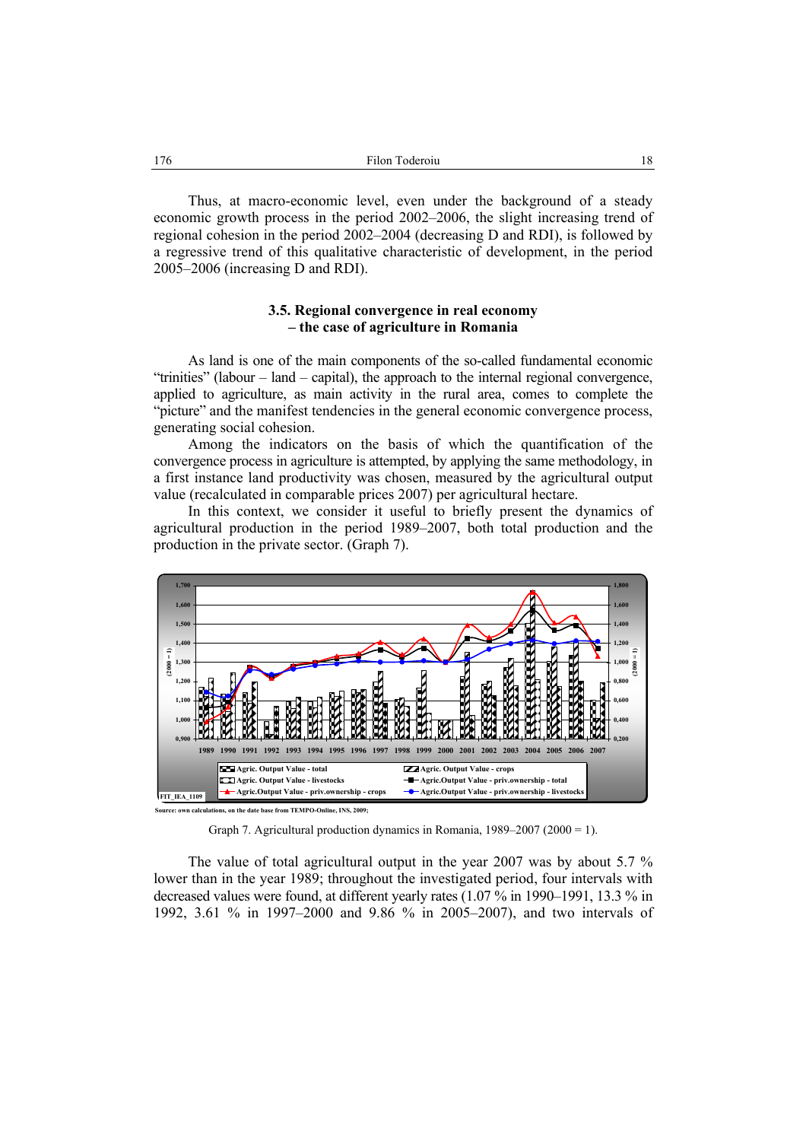Thus, at macro-economic level, even under the background of a steady economic growth process in the period 2002–2006, the slight increasing trend of regional cohesion in the period 2002–2004 (decreasing D and RDI), is followed by a regressive trend of this qualitative characteristic of development, in the period 2005–2006 (increasing D and RDI).

# **3.5. Regional convergence in real economy – the case of agriculture in Romania**

As land is one of the main components of the so-called fundamental economic "trinities" (labour – land – capital), the approach to the internal regional convergence, applied to agriculture, as main activity in the rural area, comes to complete the "picture" and the manifest tendencies in the general economic convergence process, generating social cohesion.

Among the indicators on the basis of which the quantification of the convergence process in agriculture is attempted, by applying the same methodology, in a first instance land productivity was chosen, measured by the agricultural output value (recalculated in comparable prices 2007) per agricultural hectare.

In this context, we consider it useful to briefly present the dynamics of agricultural production in the period 1989–2007, both total production and the production in the private sector. (Graph 7).



Graph 7. Agricultural production dynamics in Romania, 1989–2007 (2000 = 1).

The value of total agricultural output in the year 2007 was by about 5.7 % lower than in the year 1989; throughout the investigated period, four intervals with decreased values were found, at different yearly rates (1.07 % in 1990–1991, 13.3 % in 1992, 3.61 % in 1997–2000 and 9.86 % in 2005–2007), and two intervals of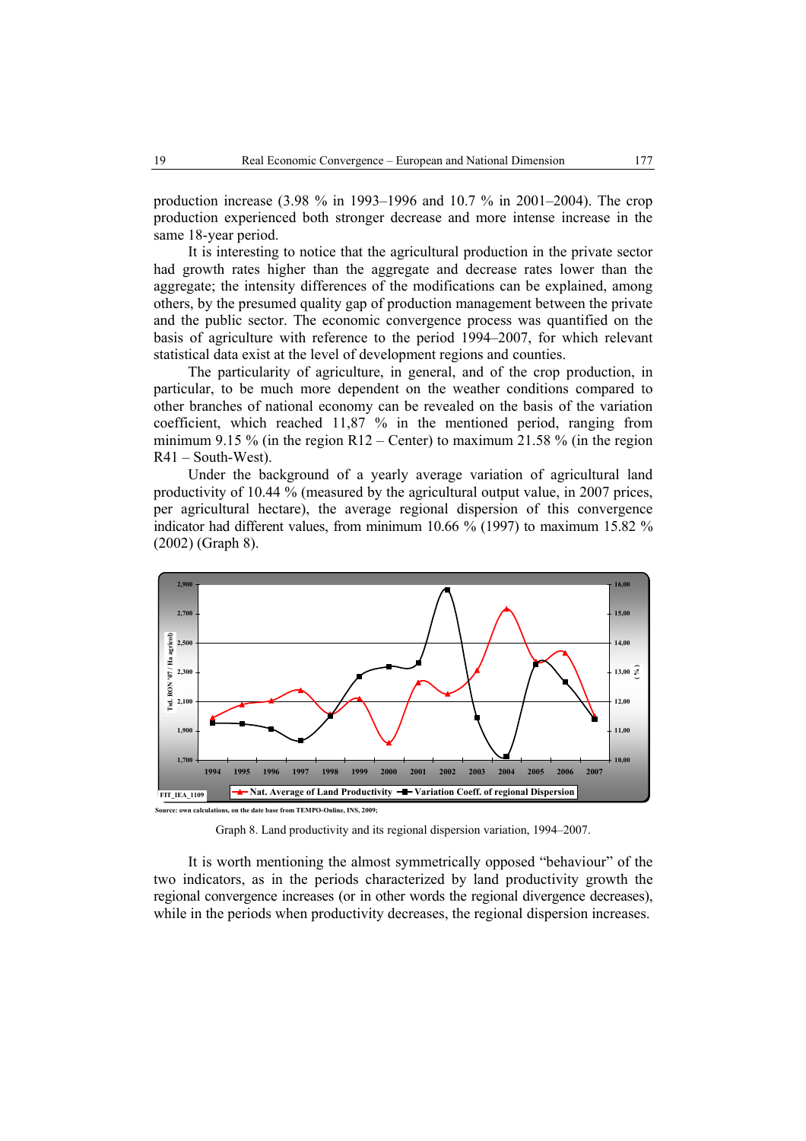production increase (3.98 % in 1993–1996 and 10.7 % in 2001–2004). The crop production experienced both stronger decrease and more intense increase in the same 18-year period.

It is interesting to notice that the agricultural production in the private sector had growth rates higher than the aggregate and decrease rates lower than the aggregate; the intensity differences of the modifications can be explained, among others, by the presumed quality gap of production management between the private and the public sector. The economic convergence process was quantified on the basis of agriculture with reference to the period 1994–2007, for which relevant statistical data exist at the level of development regions and counties.

The particularity of agriculture, in general, and of the crop production, in particular, to be much more dependent on the weather conditions compared to other branches of national economy can be revealed on the basis of the variation coefficient, which reached 11,87 % in the mentioned period, ranging from minimum 9.15 % (in the region R12 – Center) to maximum 21.58 % (in the region R41 – South-West).

Under the background of a yearly average variation of agricultural land productivity of 10.44 % (measured by the agricultural output value, in 2007 prices, per agricultural hectare), the average regional dispersion of this convergence indicator had different values, from minimum 10.66 % (1997) to maximum 15.82 % (2002) (Graph 8).





It is worth mentioning the almost symmetrically opposed "behaviour" of the two indicators, as in the periods characterized by land productivity growth the regional convergence increases (or in other words the regional divergence decreases), while in the periods when productivity decreases, the regional dispersion increases.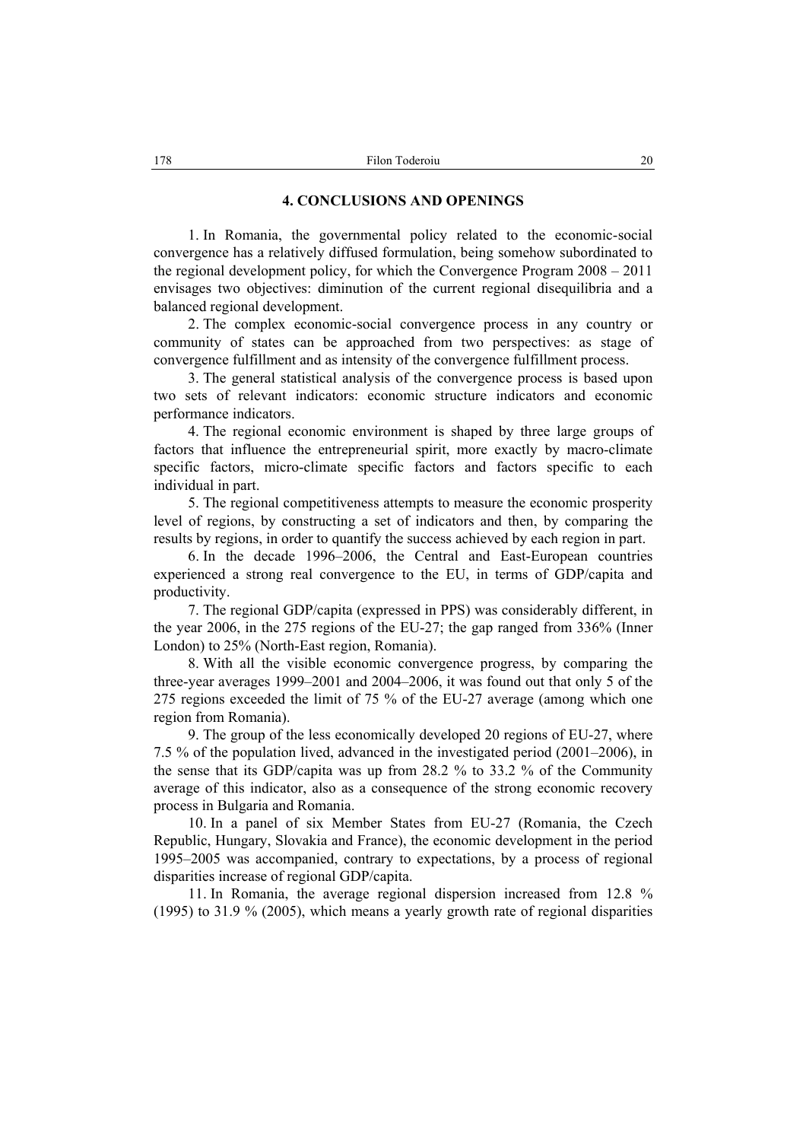### **4. CONCLUSIONS AND OPENINGS**

1. In Romania, the governmental policy related to the economic-social convergence has a relatively diffused formulation, being somehow subordinated to the regional development policy, for which the Convergence Program 2008 – 2011 envisages two objectives: diminution of the current regional disequilibria and a balanced regional development.

2. The complex economic-social convergence process in any country or community of states can be approached from two perspectives: as stage of convergence fulfillment and as intensity of the convergence fulfillment process.

3. The general statistical analysis of the convergence process is based upon two sets of relevant indicators: economic structure indicators and economic performance indicators.

4. The regional economic environment is shaped by three large groups of factors that influence the entrepreneurial spirit, more exactly by macro-climate specific factors, micro-climate specific factors and factors specific to each individual in part.

5. The regional competitiveness attempts to measure the economic prosperity level of regions, by constructing a set of indicators and then, by comparing the results by regions, in order to quantify the success achieved by each region in part.

6. In the decade 1996–2006, the Central and East-European countries experienced a strong real convergence to the EU, in terms of GDP/capita and productivity.

7. The regional GDP/capita (expressed in PPS) was considerably different, in the year 2006, in the 275 regions of the EU-27; the gap ranged from 336% (Inner London) to 25% (North-East region, Romania).

8. With all the visible economic convergence progress, by comparing the three-year averages 1999–2001 and 2004–2006, it was found out that only 5 of the 275 regions exceeded the limit of 75 % of the EU-27 average (among which one region from Romania).

9. The group of the less economically developed 20 regions of EU-27, where 7.5 % of the population lived, advanced in the investigated period (2001–2006), in the sense that its GDP/capita was up from 28.2 % to 33.2 % of the Community average of this indicator, also as a consequence of the strong economic recovery process in Bulgaria and Romania.

10. In a panel of six Member States from EU-27 (Romania, the Czech Republic, Hungary, Slovakia and France), the economic development in the period 1995–2005 was accompanied, contrary to expectations, by a process of regional disparities increase of regional GDP/capita.

11. In Romania, the average regional dispersion increased from 12.8 % (1995) to 31.9 % (2005), which means a yearly growth rate of regional disparities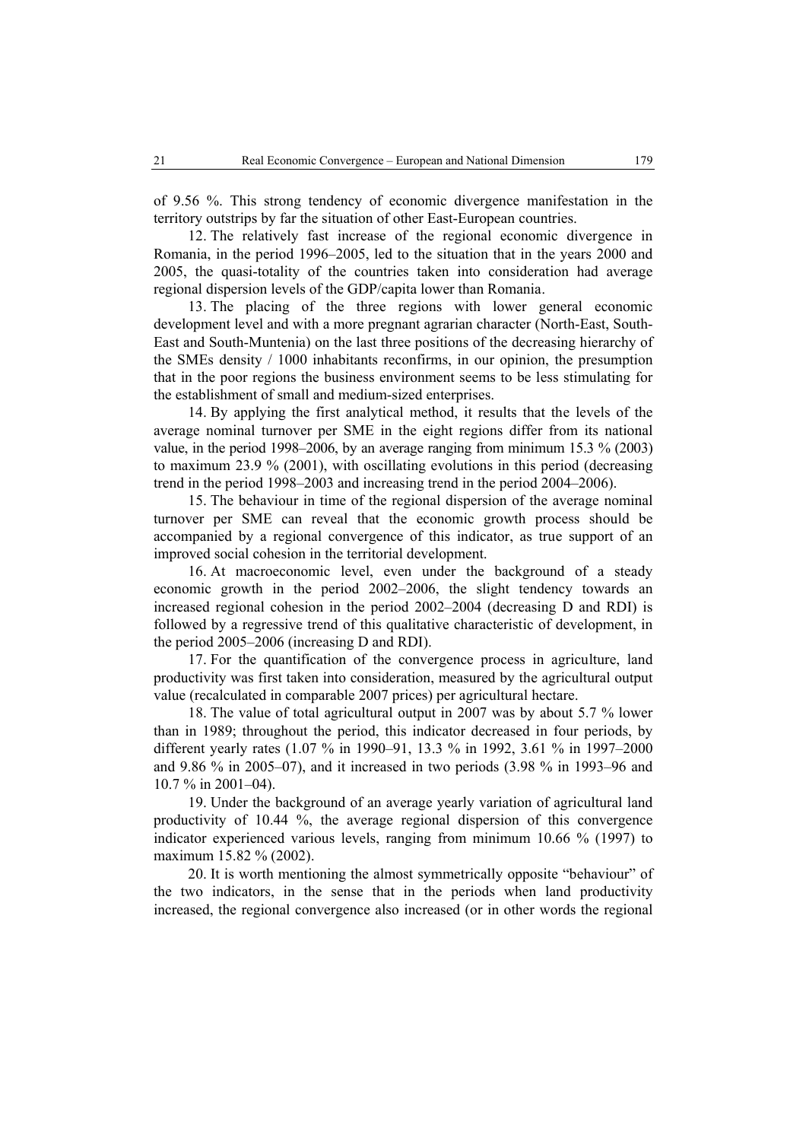of 9.56 %. This strong tendency of economic divergence manifestation in the territory outstrips by far the situation of other East-European countries.

12. The relatively fast increase of the regional economic divergence in Romania, in the period 1996–2005, led to the situation that in the years 2000 and 2005, the quasi-totality of the countries taken into consideration had average regional dispersion levels of the GDP/capita lower than Romania.

13. The placing of the three regions with lower general economic development level and with a more pregnant agrarian character (North-East, South-East and South-Muntenia) on the last three positions of the decreasing hierarchy of the SMEs density / 1000 inhabitants reconfirms, in our opinion, the presumption that in the poor regions the business environment seems to be less stimulating for the establishment of small and medium-sized enterprises.

14. By applying the first analytical method, it results that the levels of the average nominal turnover per SME in the eight regions differ from its national value, in the period 1998–2006, by an average ranging from minimum 15.3 % (2003) to maximum 23.9 % (2001), with oscillating evolutions in this period (decreasing trend in the period 1998–2003 and increasing trend in the period 2004–2006).

15. The behaviour in time of the regional dispersion of the average nominal turnover per SME can reveal that the economic growth process should be accompanied by a regional convergence of this indicator, as true support of an improved social cohesion in the territorial development.

16. At macroeconomic level, even under the background of a steady economic growth in the period 2002–2006, the slight tendency towards an increased regional cohesion in the period 2002–2004 (decreasing D and RDI) is followed by a regressive trend of this qualitative characteristic of development, in the period 2005–2006 (increasing D and RDI).

17. For the quantification of the convergence process in agriculture, land productivity was first taken into consideration, measured by the agricultural output value (recalculated in comparable 2007 prices) per agricultural hectare.

18. The value of total agricultural output in 2007 was by about 5.7 % lower than in 1989; throughout the period, this indicator decreased in four periods, by different yearly rates (1.07 % in 1990–91, 13.3 % in 1992, 3.61 % in 1997–2000 and 9.86 % in 2005–07), and it increased in two periods (3.98 % in 1993–96 and 10.7 % in 2001–04).

19. Under the background of an average yearly variation of agricultural land productivity of 10.44 %, the average regional dispersion of this convergence indicator experienced various levels, ranging from minimum 10.66 % (1997) to maximum 15.82 % (2002).

20. It is worth mentioning the almost symmetrically opposite "behaviour" of the two indicators, in the sense that in the periods when land productivity increased, the regional convergence also increased (or in other words the regional